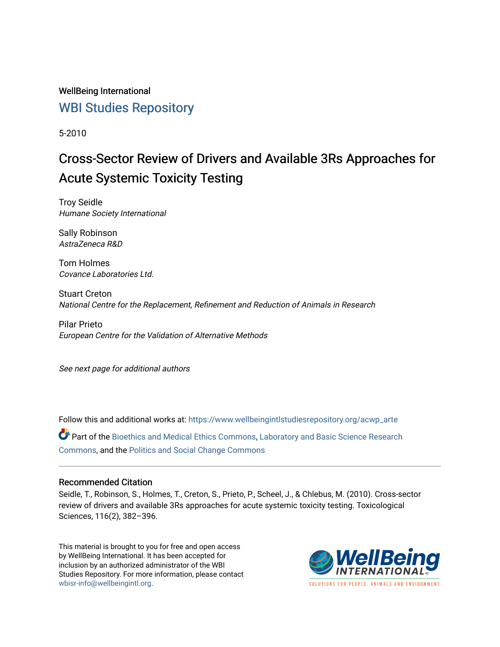# WellBeing International [WBI Studies Repository](https://www.wellbeingintlstudiesrepository.org/)

5-2010

# Cross-Sector Review of Drivers and Available 3Rs Approaches for Acute Systemic Toxicity Testing

Troy Seidle Humane Society International

Sally Robinson AstraZeneca R&D

Tom Holmes Covance Laboratories Ltd.

Stuart Creton National Centre for the Replacement, Refinement and Reduction of Animals in Research

Pilar Prieto European Centre for the Validation of Alternative Methods

See next page for additional authors

Follow this and additional works at: [https://www.wellbeingintlstudiesrepository.org/acwp\\_arte](https://www.wellbeingintlstudiesrepository.org/acwp_arte?utm_source=www.wellbeingintlstudiesrepository.org%2Facwp_arte%2F42&utm_medium=PDF&utm_campaign=PDFCoverPages) Part of the [Bioethics and Medical Ethics Commons,](http://network.bepress.com/hgg/discipline/650?utm_source=www.wellbeingintlstudiesrepository.org%2Facwp_arte%2F42&utm_medium=PDF&utm_campaign=PDFCoverPages) [Laboratory and Basic Science Research](http://network.bepress.com/hgg/discipline/812?utm_source=www.wellbeingintlstudiesrepository.org%2Facwp_arte%2F42&utm_medium=PDF&utm_campaign=PDFCoverPages) [Commons](http://network.bepress.com/hgg/discipline/812?utm_source=www.wellbeingintlstudiesrepository.org%2Facwp_arte%2F42&utm_medium=PDF&utm_campaign=PDFCoverPages), and the [Politics and Social Change Commons](http://network.bepress.com/hgg/discipline/425?utm_source=www.wellbeingintlstudiesrepository.org%2Facwp_arte%2F42&utm_medium=PDF&utm_campaign=PDFCoverPages) 

# Recommended Citation

Seidle, T., Robinson, S., Holmes, T., Creton, S., Prieto, P., Scheel, J., & Chlebus, M. (2010). Cross-sector review of drivers and available 3Rs approaches for acute systemic toxicity testing. Toxicological Sciences, 116(2), 382–396.

This material is brought to you for free and open access by WellBeing International. It has been accepted for inclusion by an authorized administrator of the WBI Studies Repository. For more information, please contact [wbisr-info@wellbeingintl.org](mailto:wbisr-info@wellbeingintl.org).



SOLUTIONS FOR PEOPLE. ANIMALS AND ENVIRONMENT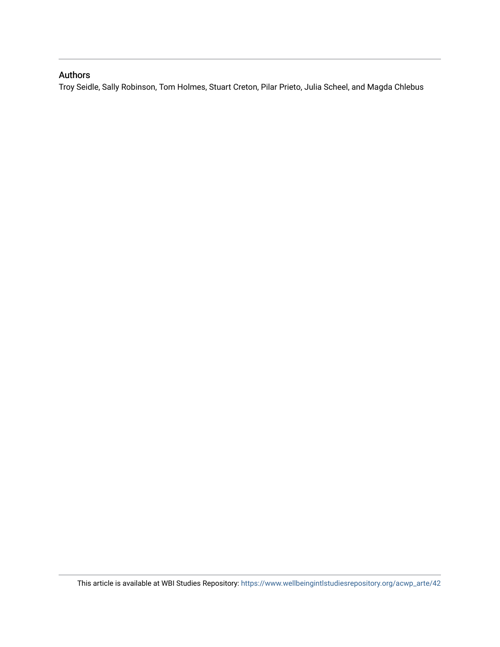# Authors

Troy Seidle, Sally Robinson, Tom Holmes, Stuart Creton, Pilar Prieto, Julia Scheel, and Magda Chlebus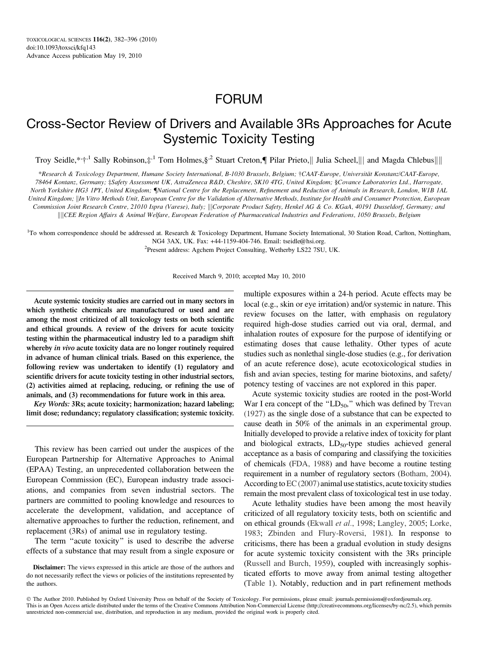# FORUM

# Cross-Sector Review of Drivers and Available 3Rs Approaches for Acute Systemic Toxicity Testing

Troy Seidle, \* $\dagger$ <sup>1</sup> Sally Robinson, $\ddagger$ <sup>1</sup> Tom Holmes, §<sup>2</sup> Stuart Creton,¶ Pilar Prieto,|| Julia Scheel,||| and Magda Chlebus||||

\*Research & Toxicology Department, Humane Society International, B-1030 Brussels, Belgium; †CAAT-Europe, Universität Konstanz/CAAT-Europe, 78464 Kontanz, Germany; ‡Safety Assessment UK, AstraZeneca R&D, Cheshire, SK10 4TG, United Kingdom; §Covance Laboratories Ltd., Harrogate, North Yorkshire HG3 1PY, United Kingdom; {National Centre for the Replacement, Refinement and Reduction of Animals in Research, London, W1B 1AL United Kingdom; | In Vitro Methods Unit, European Centre for the Validation of Alternative Methods, Institute for Health and Consumer Protection, European Commission Joint Research Centre, 21010 Ispra (Varese), Italy; \\\\\\Corporate Product Safety, Henkel AG & Co. KGaA, 40191 Dusseldorf, Germany; and ||||CEE Region Affairs & Animal Welfare, European Federation of Pharmaceutical Industries and Federations, 1050 Brussels, Belgium

<sup>1</sup>To whom correspondence should be addressed at. Research & Toxicology Department, Humane Society International, 30 Station Road, Carlton, Nottingham, NG4 3AX, UK. Fax: +44-1159-404-746. Email: tseidle@hsi.org.

<sup>2</sup>Present address: Agchem Project Consulting, Wetherby LS22 7SU, UK.

Received March 9, 2010; accepted May 10, 2010

Acute systemic toxicity studies are carried out in many sectors in which synthetic chemicals are manufactured or used and are among the most criticized of all toxicology tests on both scientific and ethical grounds. A review of the drivers for acute toxicity testing within the pharmaceutical industry led to a paradigm shift whereby in vivo acute toxicity data are no longer routinely required in advance of human clinical trials. Based on this experience, the following review was undertaken to identify (1) regulatory and scientific drivers for acute toxicity testing in other industrial sectors, (2) activities aimed at replacing, reducing, or refining the use of animals, and (3) recommendations for future work in this area.

Key Words: 3Rs; acute toxicity; harmonization; hazard labeling; limit dose; redundancy; regulatory classification; systemic toxicity.

This review has been carried out under the auspices of the European Partnership for Alternative Approaches to Animal (EPAA) Testing, an unprecedented collaboration between the European Commission (EC), European industry trade associations, and companies from seven industrial sectors. The partners are committed to pooling knowledge and resources to accelerate the development, validation, and acceptance of alternative approaches to further the reduction, refinement, and replacement (3Rs) of animal use in regulatory testing.

The term ''acute toxicity'' is used to describe the adverse effects of a substance that may result from a single exposure or

Disclaimer: The views expressed in this article are those of the authors and do not necessarily reflect the views or policies of the institutions represented by the authors.

multiple exposures within a 24-h period. Acute effects may be local (e.g., skin or eye irritation) and/or systemic in nature. This review focuses on the latter, with emphasis on regulatory required high-dose studies carried out via oral, dermal, and inhalation routes of exposure for the purpose of identifying or estimating doses that cause lethality. Other types of acute studies such as nonlethal single-dose studies (e.g., for derivation of an acute reference dose), acute ecotoxicological studies in fish and avian species, testing for marine biotoxins, and safety/ potency testing of vaccines are not explored in this paper.

Acute systemic toxicity studies are rooted in the post-World War I era concept of the " $LD_{50}$ ," which was defined by [Trevan](#page-15-0) [\(1927\)](#page-15-0) as the single dose of a substance that can be expected to cause death in 50% of the animals in an experimental group. Initially developed to provide a relative index of toxicity for plant and biological extracts,  $LD_{50}$ -type studies achieved general acceptance as a basis of comparing and classifying the toxicities of chemicals [\(FDA, 1988\)](#page-16-0) and have become a routine testing requirement in a number of regulatory sectors [\(Botham, 2004\)](#page-13-0). According to  $EC(2007)$  animal use statistics, acute toxicity studies remain the most prevalent class of toxicological test in use today.

Acute lethality studies have been among the most heavily criticized of all regulatory toxicity tests, both on scientific and on ethical grounds [\(Ekwall](#page-13-0) et al., 1998; [Langley, 2005;](#page-14-0) [Lorke,](#page-14-0) [1983](#page-14-0); [Zbinden and Flury-Roversi, 1981\)](#page-16-0). In response to criticisms, there has been a gradual evolution in study designs for acute systemic toxicity consistent with the 3Rs principle [\(Russell and Burch, 1959\)](#page-15-0), coupled with increasingly sophisticated efforts to move away from animal testing altogether [\(Table 1](#page-3-0)). Notably, reduction and in part refinement methods

 The Author 2010. Published by Oxford University Press on behalf of the Society of Toxicology. For permissions, please email: journals.permissions@oxfordjournals.org. This is an Open Access article distributed under the terms of the Creative Commons Attribution Non-Commercial License (http://creativecommons.org/licenses/by-nc/2.5), which permits unrestricted non-commercial use, distribution, and reproduction in any medium, provided the original work is properly cited.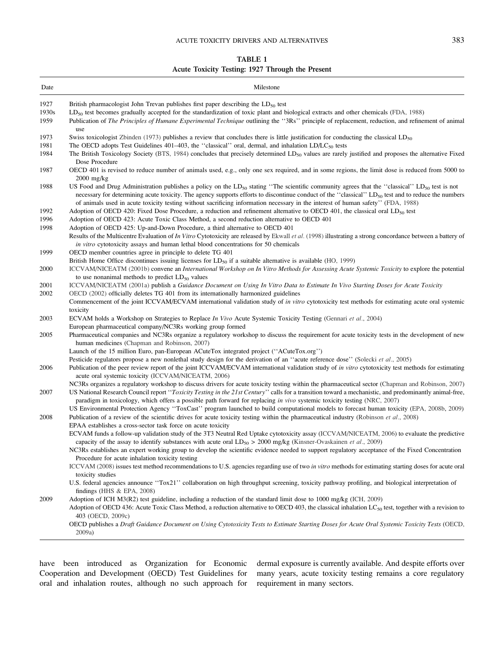### ACUTE TOXICITY DRIVERS AND ALTERNATIVES 383

## TABLE 1 Acute Toxicity Testing: 1927 Through the Present

<span id="page-3-0"></span>

| Date          | Milestone                                                                                                                                                                                                                                                                                                                                                                                                                                                                     |
|---------------|-------------------------------------------------------------------------------------------------------------------------------------------------------------------------------------------------------------------------------------------------------------------------------------------------------------------------------------------------------------------------------------------------------------------------------------------------------------------------------|
| 1927          | British pharmacologist John Trevan publishes first paper describing the $LD_{50}$ test                                                                                                                                                                                                                                                                                                                                                                                        |
| 1930s<br>1959 | $LD_{50}$ test becomes gradually accepted for the standardization of toxic plant and biological extracts and other chemicals (FDA, 1988)<br>Publication of The Principles of Humane Experimental Technique outlining the "3Rs" principle of replacement, reduction, and refinement of animal                                                                                                                                                                                  |
|               | use                                                                                                                                                                                                                                                                                                                                                                                                                                                                           |
| 1973          | Swiss toxicologist Zbinden (1973) publishes a review that concludes there is little justification for conducting the classical $LD_{50}$                                                                                                                                                                                                                                                                                                                                      |
| 1981<br>1984  | The OECD adopts Test Guidelines 401–403, the "classical" oral, dermal, and inhalation LD/LC <sub>50</sub> tests<br>The British Toxicology Society (BTS, 1984) concludes that precisely determined $LD_{50}$ values are rarely justified and proposes the alternative Fixed<br>Dose Procedure                                                                                                                                                                                  |
| 1987          | OECD 401 is revised to reduce number of animals used, e.g., only one sex required, and in some regions, the limit dose is reduced from 5000 to<br>$2000$ mg/kg                                                                                                                                                                                                                                                                                                                |
| 1988          | US Food and Drug Administration publishes a policy on the LD <sub>50</sub> stating "The scientific community agrees that the "classical" LD <sub>50</sub> test is not<br>necessary for determining acute toxicity. The agency supports efforts to discontinue conduct of the "classical" LD <sub>50</sub> test and to reduce the numbers<br>of animals used in acute toxicity testing without sacrificing information necessary in the interest of human safety'' (FDA, 1988) |
| 1992          | Adoption of OECD 420: Fixed Dose Procedure, a reduction and refinement alternative to OECD 401, the classical oral LD <sub>50</sub> test                                                                                                                                                                                                                                                                                                                                      |
| 1996          | Adoption of OECD 423: Acute Toxic Class Method, a second reduction alternative to OECD 401                                                                                                                                                                                                                                                                                                                                                                                    |
| 1998          | Adoption of OECD 425: Up-and-Down Procedure, a third alternative to OECD 401                                                                                                                                                                                                                                                                                                                                                                                                  |
|               | Results of the Multicentre Evaluation of In Vitro Cytotoxicity are released by Ekwall et al. (1998) illustrating a strong concordance between a battery of<br><i>in vitro</i> cytotoxicity assays and human lethal blood concentrations for 50 chemicals                                                                                                                                                                                                                      |
| 1999          | OECD member countries agree in principle to delete TG 401                                                                                                                                                                                                                                                                                                                                                                                                                     |
|               | British Home Office discontinues issuing licenses for $LD_{50}$ if a suitable alternative is available (HO, 1999)                                                                                                                                                                                                                                                                                                                                                             |
| 2000          | ICCVAM/NICEATM (2001b) convene an International Workshop on In Vitro Methods for Assessing Acute Systemic Toxicity to explore the potential                                                                                                                                                                                                                                                                                                                                   |
| 2001          | to use nonanimal methods to predict $LD_{50}$ values                                                                                                                                                                                                                                                                                                                                                                                                                          |
| 2002          | ICCVAM/NICEATM (2001a) publish a Guidance Document on Using In Vitro Data to Estimate In Vivo Starting Doses for Acute Toxicity<br>OECD (2002) officially deletes TG 401 from its internationally harmonized guidelines                                                                                                                                                                                                                                                       |
|               | Commencement of the joint ICCVAM/ECVAM international validation study of in vitro cytotoxicity test methods for estimating acute oral systemic<br>toxicity                                                                                                                                                                                                                                                                                                                    |
| 2003          | ECVAM holds a Workshop on Strategies to Replace In Vivo Acute Systemic Toxicity Testing (Gennari et al., 2004)                                                                                                                                                                                                                                                                                                                                                                |
|               | European pharmaceutical company/NC3Rs working group formed                                                                                                                                                                                                                                                                                                                                                                                                                    |
| 2005          | Pharmaceutical companies and NC3Rs organize a regulatory workshop to discuss the requirement for acute toxicity tests in the development of new<br>human medicines (Chapman and Robinson, 2007)                                                                                                                                                                                                                                                                               |
|               | Launch of the 15 million Euro, pan-European ACuteTox integrated project ("ACuteTox.org")                                                                                                                                                                                                                                                                                                                                                                                      |
|               | Pesticide regulators propose a new nonlethal study design for the derivation of an "acute reference dose" (Solecki et al., 2005)                                                                                                                                                                                                                                                                                                                                              |
| 2006          | Publication of the peer review report of the joint ICCVAM/ECVAM international validation study of in vitro cytotoxicity test methods for estimating<br>acute oral systemic toxicity (ICCVAM/NICEATM, 2006)                                                                                                                                                                                                                                                                    |
|               | NC3Rs organizes a regulatory workshop to discuss drivers for acute toxicity testing within the pharmaceutical sector (Chapman and Robinson, 2007)                                                                                                                                                                                                                                                                                                                             |
| 2007          | US National Research Council report "Toxicity Testing in the 21st Century" calls for a transition toward a mechanistic, and predominantly animal-free,<br>paradigm in toxicology, which offers a possible path forward for replacing in vivo systemic toxicity testing (NRC, 2007)                                                                                                                                                                                            |
|               | US Environmental Protection Agency "ToxCast" program launched to build computational models to forecast human toxicity (EPA, 2008b, 2009)                                                                                                                                                                                                                                                                                                                                     |
| 2008          | Publication of a review of the scientific drives for acute toxicity testing within the pharmaceutical industry (Robinson et al., 2008)                                                                                                                                                                                                                                                                                                                                        |
|               | EPAA establishes a cross-sector task force on acute toxicity                                                                                                                                                                                                                                                                                                                                                                                                                  |
|               | ECVAM funds a follow-up validation study of the 3T3 Neutral Red Uptake cytotoxicity assay (ICCVAM/NICEATM, 2006) to evaluate the predictive                                                                                                                                                                                                                                                                                                                                   |
|               | capacity of the assay to identify substances with acute oral $LD_{50} > 2000$ mg/kg (Kinsner-Ovaskainen et al., 2009)                                                                                                                                                                                                                                                                                                                                                         |
|               | NC3Rs establishes an expert working group to develop the scientific evidence needed to support regulatory acceptance of the Fixed Concentration                                                                                                                                                                                                                                                                                                                               |
|               | Procedure for acute inhalation toxicity testing                                                                                                                                                                                                                                                                                                                                                                                                                               |
|               | ICCVAM (2008) issues test method recommendations to U.S. agencies regarding use of two in vitro methods for estimating starting doses for acute oral<br>toxicity studies                                                                                                                                                                                                                                                                                                      |
|               | U.S. federal agencies announce "Tox21" collaboration on high throughput screening, toxicity pathway profiling, and biological interpretation of<br>findings (HHS $\&$ EPA, 2008)                                                                                                                                                                                                                                                                                              |
| 2009          | Adoption of ICH $M3(R2)$ test guideline, including a reduction of the standard limit dose to 1000 mg/kg (ICH, 2009)                                                                                                                                                                                                                                                                                                                                                           |
|               | Adoption of OECD 436: Acute Toxic Class Method, a reduction alternative to OECD 403, the classical inhalation LC <sub>50</sub> test, together with a revision to<br>403 (OECD, 2009c)                                                                                                                                                                                                                                                                                         |
|               | OECD publishes a Draft Guidance Document on Using Cytotoxicity Tests to Estimate Starting Doses for Acute Oral Systemic Toxicity Tests (OECD,<br>2009a)                                                                                                                                                                                                                                                                                                                       |

have been introduced as Organization for Economic Cooperation and Development (OECD) Test Guidelines for oral and inhalation routes, although no such approach for

dermal exposure is currently available. And despite efforts over many years, acute toxicity testing remains a core regulatory requirement in many sectors.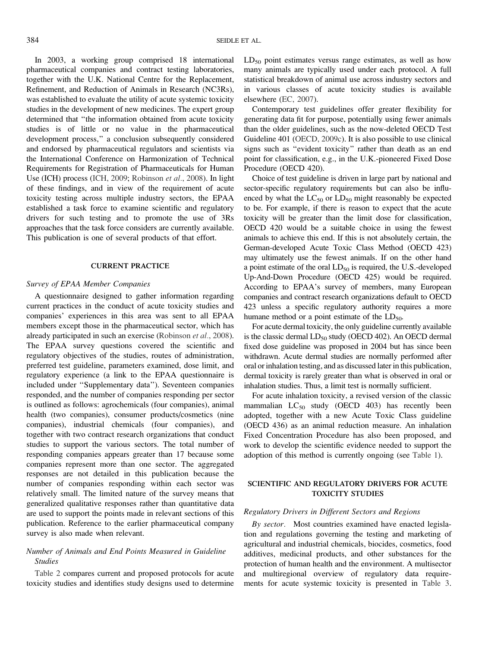In 2003, a working group comprised 18 international pharmaceutical companies and contract testing laboratories, together with the U.K. National Centre for the Replacement, Refinement, and Reduction of Animals in Research (NC3Rs), was established to evaluate the utility of acute systemic toxicity studies in the development of new medicines. The expert group determined that ''the information obtained from acute toxicity studies is of little or no value in the pharmaceutical development process,'' a conclusion subsequently considered and endorsed by pharmaceutical regulators and scientists via the International Conference on Harmonization of Technical Requirements for Registration of Pharmaceuticals for Human Use (ICH) process [\(ICH, 2009](#page-14-0); [Robinson](#page-15-0) et al., 2008). In light of these findings, and in view of the requirement of acute toxicity testing across multiple industry sectors, the EPAA established a task force to examine scientific and regulatory drivers for such testing and to promote the use of 3Rs approaches that the task force considers are currently available. This publication is one of several products of that effort.

#### CURRENT PRACTICE

#### Survey of EPAA Member Companies

A questionnaire designed to gather information regarding current practices in the conduct of acute toxicity studies and companies' experiences in this area was sent to all EPAA members except those in the pharmaceutical sector, which has already participated in such an exercise [\(Robinson](#page-15-0) et al., 2008). The EPAA survey questions covered the scientific and regulatory objectives of the studies, routes of administration, preferred test guideline, parameters examined, dose limit, and regulatory experience (a link to the EPAA questionnaire is included under ''[Supplementary data'](Supplementary data)'). Seventeen companies responded, and the number of companies responding per sector is outlined as follows: agrochemicals (four companies), animal health (two companies), consumer products/cosmetics (nine companies), industrial chemicals (four companies), and together with two contract research organizations that conduct studies to support the various sectors. The total number of responding companies appears greater than 17 because some companies represent more than one sector. The aggregated responses are not detailed in this publication because the number of companies responding within each sector was relatively small. The limited nature of the survey means that generalized qualitative responses rather than quantitative data are used to support the points made in relevant sections of this publication. Reference to the earlier pharmaceutical company survey is also made when relevant.

### Number of Animals and End Points Measured in Guideline Studies

[Table 2](#page-5-0) compares current and proposed protocols for acute toxicity studies and identifies study designs used to determine  $LD_{50}$  point estimates versus range estimates, as well as how many animals are typically used under each protocol. A full statistical breakdown of animal use across industry sectors and in various classes of acute toxicity studies is available elsewhere [\(EC, 2007\)](#page-13-0).

Contemporary test guidelines offer greater flexibility for generating data fit for purpose, potentially using fewer animals than the older guidelines, such as the now-deleted OECD Test Guideline 401 [\(OECD, 2009c](#page-15-0)). It is also possible to use clinical signs such as ''evident toxicity'' rather than death as an end point for classification, e.g., in the U.K.-pioneered Fixed Dose Procedure (OECD 420).

Choice of test guideline is driven in large part by national and sector-specific regulatory requirements but can also be influenced by what the  $LC_{50}$  or  $LD_{50}$  might reasonably be expected to be. For example, if there is reason to expect that the acute toxicity will be greater than the limit dose for classification, OECD 420 would be a suitable choice in using the fewest animals to achieve this end. If this is not absolutely certain, the German-developed Acute Toxic Class Method (OECD 423) may ultimately use the fewest animals. If on the other hand a point estimate of the oral  $LD_{50}$  is required, the U.S.-developed Up-And-Down Procedure (OECD 425) would be required. According to EPAA's survey of members, many European companies and contract research organizations default to OECD 423 unless a specific regulatory authority requires a more humane method or a point estimate of the  $LD_{50}$ .

For acute dermal toxicity, the only guideline currently available is the classic dermal  $LD_{50}$  study (OECD 402). An OECD dermal fixed dose guideline was proposed in 2004 but has since been withdrawn. Acute dermal studies are normally performed after oral or inhalation testing, and as discussed later in this publication, dermal toxicity is rarely greater than what is observed in oral or inhalation studies. Thus, a limit test is normally sufficient.

For acute inhalation toxicity, a revised version of the classic mammalian  $LC_{50}$  study (OECD 403) has recently been adopted, together with a new Acute Toxic Class guideline (OECD 436) as an animal reduction measure. An inhalation Fixed Concentration Procedure has also been proposed, and work to develop the scientific evidence needed to support the adoption of this method is currently ongoing (see [Table 1\)](#page-3-0).

### SCIENTIFIC AND REGULATORY DRIVERS FOR ACUTE TOXICITY STUDIES

#### Regulatory Drivers in Different Sectors and Regions

By sector. Most countries examined have enacted legislation and regulations governing the testing and marketing of agricultural and industrial chemicals, biocides, cosmetics, food additives, medicinal products, and other substances for the protection of human health and the environment. A multisector and multiregional overview of regulatory data requirements for acute systemic toxicity is presented in [Table 3.](#page-8-0)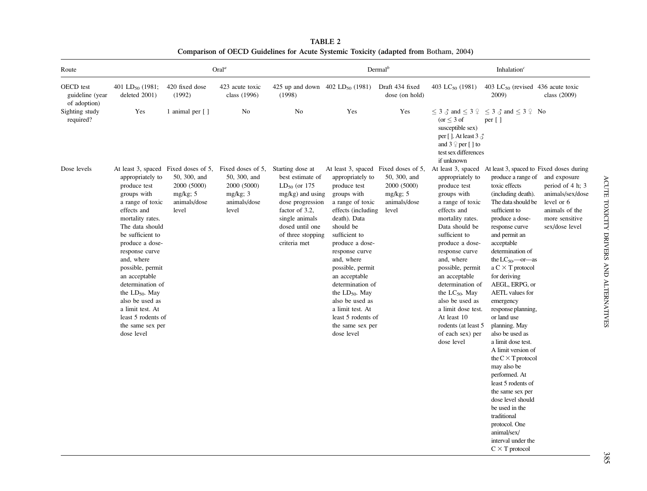<span id="page-5-0"></span>

| Route                                        | Oral <sup>a</sup>                                                                                                                                                                                                                                                                                                                                                                                                       |                                                                     |                                                                                          |                                                                                                                                                                                                  | $Dermal^b$                                                                                                                                                                                                                                                                                                                                                                                                         |                                                                     | Inhalation $c$                                                                                                                                                                                                                                                                                                                                                                                |                                                                                                                                                                                                                                                                                                                                                                                                                                                                                                                                                                                                                                                                                                                                                     |                                                                                                                          |
|----------------------------------------------|-------------------------------------------------------------------------------------------------------------------------------------------------------------------------------------------------------------------------------------------------------------------------------------------------------------------------------------------------------------------------------------------------------------------------|---------------------------------------------------------------------|------------------------------------------------------------------------------------------|--------------------------------------------------------------------------------------------------------------------------------------------------------------------------------------------------|--------------------------------------------------------------------------------------------------------------------------------------------------------------------------------------------------------------------------------------------------------------------------------------------------------------------------------------------------------------------------------------------------------------------|---------------------------------------------------------------------|-----------------------------------------------------------------------------------------------------------------------------------------------------------------------------------------------------------------------------------------------------------------------------------------------------------------------------------------------------------------------------------------------|-----------------------------------------------------------------------------------------------------------------------------------------------------------------------------------------------------------------------------------------------------------------------------------------------------------------------------------------------------------------------------------------------------------------------------------------------------------------------------------------------------------------------------------------------------------------------------------------------------------------------------------------------------------------------------------------------------------------------------------------------------|--------------------------------------------------------------------------------------------------------------------------|
| OECD test<br>guideline (year<br>of adoption) | 401 LD <sub>50</sub> (1981;<br>deleted 2001)                                                                                                                                                                                                                                                                                                                                                                            | 420 fixed dose<br>(1992)                                            | 423 acute toxic<br>class (1996)                                                          | 425 up and down $402$ LD <sub>50</sub> (1981)<br>(1998)                                                                                                                                          |                                                                                                                                                                                                                                                                                                                                                                                                                    | Draft 434 fixed<br>dose (on hold)                                   | 403 LC <sub>50</sub> (1981)                                                                                                                                                                                                                                                                                                                                                                   | 403 LC <sub>50</sub> (revised 436 acute toxic<br>2009)                                                                                                                                                                                                                                                                                                                                                                                                                                                                                                                                                                                                                                                                                              | class (2009)                                                                                                             |
| Sighting study<br>required?                  | Yes                                                                                                                                                                                                                                                                                                                                                                                                                     | 1 animal per [ ]                                                    | No                                                                                       | No                                                                                                                                                                                               | Yes                                                                                                                                                                                                                                                                                                                                                                                                                | Yes                                                                 | $\leq$ 3 $\delta$ and $\leq$ 3 $\circ$<br>$(or < 3$ of<br>susceptible sex)<br>per []. At least $3 \delta$<br>and $3 \nvert p$ per $\lceil \cdot \rceil$ to<br>test sex differences<br>if unknown                                                                                                                                                                                              | $\leq$ 3 $\triangle$ and $\leq$ 3 $\degree$ No<br>per $\lceil \; \rceil$                                                                                                                                                                                                                                                                                                                                                                                                                                                                                                                                                                                                                                                                            |                                                                                                                          |
| Dose levels                                  | At least 3, spaced Fixed doses of 5,<br>appropriately to<br>produce test<br>groups with<br>a range of toxic<br>effects and<br>mortality rates.<br>The data should<br>be sufficient to<br>produce a dose-<br>response curve<br>and, where<br>possible, permit<br>an acceptable<br>determination of<br>the $LD_{50}$ . May<br>also be used as<br>a limit test. At<br>least 5 rodents of<br>the same sex per<br>dose level | 50, 300, and<br>2000 (5000)<br>$mg/kg$ ; 5<br>animals/dose<br>level | Fixed doses of 5,<br>50, 300, and<br>2000 (5000)<br>$mg/kg$ ; 3<br>animals/dose<br>level | Starting dose at<br>best estimate of<br>$LD_{50}$ (or 175<br>$mg/kg$ ) and using<br>dose progression<br>factor of 3.2,<br>single animals<br>dosed until one<br>of three stopping<br>criteria met | At least 3, spaced Fixed doses of 5,<br>appropriately to<br>produce test<br>groups with<br>a range of toxic<br>effects (including)<br>death). Data<br>should be<br>sufficient to<br>produce a dose-<br>response curve<br>and, where<br>possible, permit<br>an acceptable<br>determination of<br>the $LD_{50}$ . May<br>also be used as<br>a limit test. At<br>least 5 rodents of<br>the same sex per<br>dose level | 50, 300, and<br>2000 (5000)<br>$mg/kg$ ; 5<br>animals/dose<br>level | appropriately to<br>produce test<br>groups with<br>a range of toxic<br>effects and<br>mortality rates.<br>Data should be<br>sufficient to<br>produce a dose-<br>response curve<br>and, where<br>possible, permit<br>an acceptable<br>determination of<br>the $LC_{50}$ . May<br>also be used as<br>a limit dose test.<br>At least 10<br>rodents (at least 5<br>of each sex) per<br>dose level | At least 3, spaced At least 3, spaced to Fixed doses during<br>produce a range of<br>toxic effects<br>(including death).<br>The data should be<br>sufficient to<br>produce a dose-<br>response curve<br>and permit an<br>acceptable<br>determination of<br>the $LC_{50}$ —or—as<br>$a \subset \times T$ protocol<br>for deriving<br>AEGL, ERPG, or<br>AETL values for<br>emergency<br>response planning,<br>or land use<br>planning. May<br>also be used as<br>a limit dose test.<br>A limit version of<br>the $C \times T$ protocol<br>may also be<br>performed. At<br>least 5 rodents of<br>the same sex per<br>dose level should<br>be used in the<br>traditional<br>protocol. One<br>animal/sex/<br>interval under the<br>$C \times T$ protocol | and exposure<br>period of 4 h; 3<br>animals/sex/dose<br>level or 6<br>animals of the<br>more sensitive<br>sex/dose level |

TABLE 2 Comparison of OECD Guidelines for Acute Systemic Toxicity (adapted from [Botham,](#page-13-0) 2004)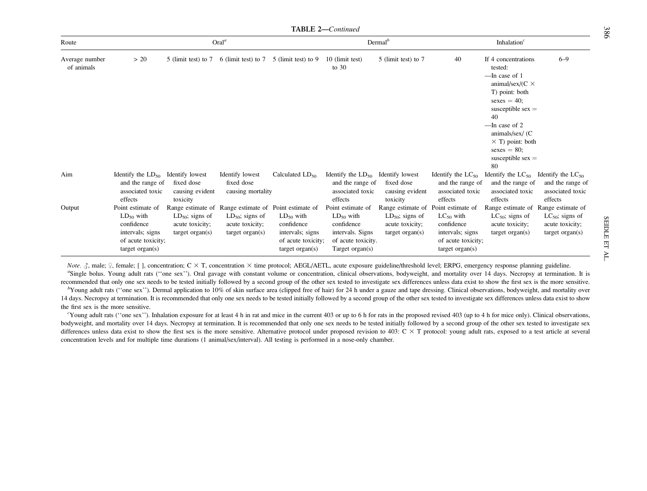TABLE 2—Continued

| Route                        |                                                                                                                     |                                                                                      | Oral <sup>a</sup>                                                                                      |                                                                                                |                                                                                                                | Dermal <sup>b</sup>                                                                  |                                                                                                                     | Inhalation $c$                                                                                                                                                                                                                                                           |                                                                                      |
|------------------------------|---------------------------------------------------------------------------------------------------------------------|--------------------------------------------------------------------------------------|--------------------------------------------------------------------------------------------------------|------------------------------------------------------------------------------------------------|----------------------------------------------------------------------------------------------------------------|--------------------------------------------------------------------------------------|---------------------------------------------------------------------------------------------------------------------|--------------------------------------------------------------------------------------------------------------------------------------------------------------------------------------------------------------------------------------------------------------------------|--------------------------------------------------------------------------------------|
| Average number<br>of animals | > 20                                                                                                                | 5 (limit test) to 7                                                                  | 6 (limit test) to 7                                                                                    | 5 (limit test) to 9                                                                            | 10 (limit test)<br>to $30$                                                                                     | 5 (limit test) to 7                                                                  | 40                                                                                                                  | If 4 concentrations<br>tested:<br>—In case of 1<br>animal/sex/( $C \times$<br>T) point: both<br>$sexes = 40$ ;<br>susceptible $sex =$<br>40<br>$\frac{1}{2}$ = In case of 2<br>animals/sex/ (C<br>$\times$ T) point: both<br>$sexes = 80$ ;<br>susceptible $sex =$<br>80 | $6 - 9$                                                                              |
| Aim                          | Identify the $LD_{50}$<br>and the range of<br>associated toxic<br>effects                                           | Identify lowest<br>fixed dose<br>causing evident<br>toxicity                         | Identify lowest<br>fixed dose<br>causing mortality                                                     | Calculated $LD_{50}$                                                                           | Identify the $LD_{50}$<br>and the range of<br>associated toxic<br>effects                                      | Identify lowest<br>fixed dose<br>causing evident<br>toxicity                         | Identify the $LC_{50}$<br>and the range of<br>associated toxic<br>effects                                           | Identify the $LC_{50}$<br>and the range of<br>associated toxic<br>effects                                                                                                                                                                                                | Identify the $LC_{50}$<br>and the range of<br>associated toxic<br>effects            |
| Output                       | Point estimate of<br>$LD_{50}$ with<br>confidence<br>intervals; signs<br>of acute toxicity;<br>$target \, organ(s)$ | Range estimate of<br>$LD_{50}$ ; signs of<br>acute toxicity;<br>$target \, organ(s)$ | Range estimate of Point estimate of<br>$LD_{50}$ ; signs of<br>acute toxicity;<br>$target \, organ(s)$ | $LD_{50}$ with<br>confidence<br>intervals; signs<br>of acute toxicity;<br>$target \, organ(s)$ | Point estimate of<br>$LD_{50}$ with<br>confidence<br>intervals. Signs<br>of acute toxicity.<br>Target organ(s) | Range estimate of<br>$LD_{50}$ ; signs of<br>acute toxicity;<br>$target \, organ(s)$ | Point estimate of<br>$LC_{50}$ with<br>confidence<br>intervals; signs<br>of acute toxicity;<br>$target \, organ(s)$ | Range estimate of<br>$LC_{50}$ ; signs of<br>acute toxicity;<br>target $organ(s)$                                                                                                                                                                                        | Range estimate of<br>$LC_{50}$ ; signs of<br>acute toxicity;<br>$target \, organ(s)$ |

Note.  $\zeta$ , male;  $\zeta$ , female; [], concentration; C  $\times$  T, concentration  $\times$  time protocol; AEGL/AETL, acute exposure guideline/threshold level; ERPG, emergency response planning guideline. <sup>a</sup>Single bolus. Young adult rats ("one sex"). Oral gavage with constant volume or concentration, clinical observations, bodyweight, and mortality over 14 days. Necropsy at termination. It is recommended that only one sex needs to be tested initially followed by <sup>a</sup> second group of the other sex tested to investigate sex differences unless data exist to show the first sex is the more sensitive.

<sup>b</sup>Young adult rats ("one sex"). Dermal application to 10% of skin surface area (clipped free of hair) for 24 h under a gauze and tape dressing. Clinical observations, bodyweight, and mortality over 14 days. Necropsy at termination. It is recommended that only one sex needs to be tested initially followed by <sup>a</sup> second group of the other sex tested to investigate sex differences unless data exist to show the first sex is the more sensitive.

"Young adult rats ("one sex"). Inhalation exposure for at least 4 h in rat and mice in the current 403 or up to 6 h for rats in the proposed revised 403 (up to 4 h for mice only). Clinical observations, bodyweight, and mortality over 14 days. Necropsy at termination. It is recommended that only one sex needs to be tested initially followed by <sup>a</sup> second group of the other sex tested to investigate sex differences unless data exist to show the first sex is the more sensitive. Alternative protocol under proposed revision to 403:  $C \times T$  protocol: young adult rats, exposed to a test article at several concentration levels and for multiple time durations (1 animal/sex/interval). All testing is performed in <sup>a</sup> nose-only chamber.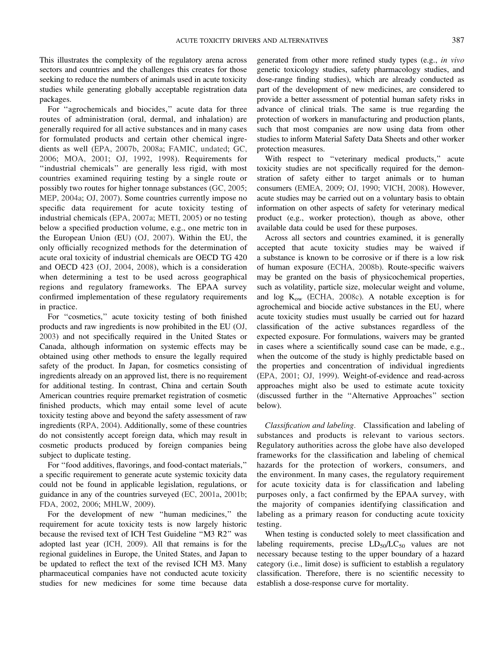This illustrates the complexity of the regulatory arena across sectors and countries and the challenges this creates for those seeking to reduce the numbers of animals used in acute toxicity studies while generating globally acceptable registration data packages.

For ''agrochemicals and biocides,'' acute data for three routes of administration (oral, dermal, and inhalation) are generally required for all active substances and in many cases for formulated products and certain other chemical ingredients as well ([EPA, 2007b](#page-16-0), [2008a](#page-16-0); [FAMIC, undated](#page-14-0); [GC,](#page-14-0) [2006](#page-14-0); [MOA, 2001](#page-13-0); [OJ, 1992,](#page-15-0) [1998](#page-15-0)). Requirements for ''industrial chemicals'' are generally less rigid, with most countries examined requiring testing by a single route or possibly two routes for higher tonnage substances [\(GC, 2005](#page-14-0); [MEP, 2004a](#page-14-0); [OJ, 2007\)](#page-15-0). Some countries currently impose no specific data requirement for acute toxicity testing of industrial chemicals ([EPA, 2007a](#page-16-0); [METI, 2005](#page-14-0)) or no testing below a specified production volume, e.g., one metric ton in the European Union (EU) ([OJ, 2007\)](#page-15-0). Within the EU, the only officially recognized methods for the determination of acute oral toxicity of industrial chemicals are OECD TG 420 and OECD 423 ([OJ, 2004](#page-15-0), [2008](#page-15-0)), which is a consideration when determining a test to be used across geographical regions and regulatory frameworks. The EPAA survey confirmed implementation of these regulatory requirements in practice.

For ''cosmetics,'' acute toxicity testing of both finished products and raw ingredients is now prohibited in the EU [\(OJ,](#page-15-0) [2003\)](#page-15-0) and not specifically required in the United States or Canada, although information on systemic effects may be obtained using other methods to ensure the legally required safety of the product. In Japan, for cosmetics consisting of ingredients already on an approved list, there is no requirement for additional testing. In contrast, China and certain South American countries require premarket registration of cosmetic finished products, which may entail some level of acute toxicity testing above and beyond the safety assessment of raw ingredients ([RPA, 2004\)](#page-15-0). Additionally, some of these countries do not consistently accept foreign data, which may result in cosmetic products produced by foreign companies being subject to duplicate testing.

For ''food additives, flavorings, and food-contact materials,'' a specific requirement to generate acute systemic toxicity data could not be found in applicable legislation, regulations, or guidance in any of the countries surveyed ([EC, 2001a,](#page-13-0) [2001b](#page-13-0); [FDA, 2002](#page-16-0), [2006](#page-16-0); [MHLW, 2009](#page-14-0)).

For the development of new ''human medicines,'' the requirement for acute toxicity tests is now largely historic because the revised text of ICH Test Guideline ''M3 R2'' was adopted last year ([ICH, 2009](#page-14-0)). All that remains is for the regional guidelines in Europe, the United States, and Japan to be updated to reflect the text of the revised ICH M3. Many pharmaceutical companies have not conducted acute toxicity studies for new medicines for some time because data generated from other more refined study types (e.g., in vivo genetic toxicology studies, safety pharmacology studies, and dose-range finding studies), which are already conducted as part of the development of new medicines, are considered to provide a better assessment of potential human safety risks in advance of clinical trials. The same is true regarding the protection of workers in manufacturing and production plants, such that most companies are now using data from other studies to inform Material Safety Data Sheets and other worker protection measures.

With respect to "veterinary medical products," acute toxicity studies are not specifically required for the demonstration of safety either to target animals or to human consumers ([EMEA, 2009](#page-14-0); [OJ, 1990](#page-15-0); [VICH, 2008\)](#page-14-0). However, acute studies may be carried out on a voluntary basis to obtain information on other aspects of safety for veterinary medical product (e.g., worker protection), though as above, other available data could be used for these purposes.

Across all sectors and countries examined, it is generally accepted that acute toxicity studies may be waived if a substance is known to be corrosive or if there is a low risk of human exposure ([ECHA, 2008b\)](#page-14-0). Route-specific waivers may be granted on the basis of physicochemical properties, such as volatility, particle size, molecular weight and volume, and  $log K_{ow}$  ([ECHA, 2008c](#page-14-0)). A notable exception is for agrochemical and biocide active substances in the EU, where acute toxicity studies must usually be carried out for hazard classification of the active substances regardless of the expected exposure. For formulations, waivers may be granted in cases where a scientifically sound case can be made, e.g., when the outcome of the study is highly predictable based on the properties and concentration of individual ingredients [\(EPA, 2001;](#page-16-0) [OJ, 1999\)](#page-15-0). Weight-of-evidence and read-across approaches might also be used to estimate acute toxicity (discussed further in the ''Alternative Approaches'' section below).

Classification and labeling. Classification and labeling of substances and products is relevant to various sectors. Regulatory authorities across the globe have also developed frameworks for the classification and labeling of chemical hazards for the protection of workers, consumers, and the environment. In many cases, the regulatory requirement for acute toxicity data is for classification and labeling purposes only, a fact confirmed by the EPAA survey, with the majority of companies identifying classification and labeling as a primary reason for conducting acute toxicity testing.

When testing is conducted solely to meet classification and labeling requirements, precise  $LD_{50}/LC_{50}$  values are not necessary because testing to the upper boundary of a hazard category (i.e., limit dose) is sufficient to establish a regulatory classification. Therefore, there is no scientific necessity to establish a dose-response curve for mortality.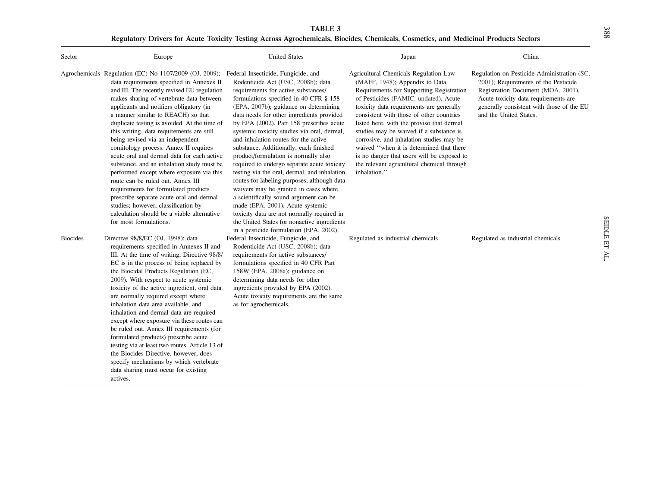TABLE 3 Regulatory Drivers for Acute Toxicity Testing Across Agrochemicals, Biocides, Chemicals, Cosmetics, and Medicinal Products Sectors

<span id="page-8-0"></span>

| Sector          | Europe                                                                                                                                                                                                                                                                                                                                                                                                                                                                                                                                                                                                                                                                                                                                                                                                                                    | <b>United States</b>                                                                                                                                                                                                                                                                                                                                                                                                                                                                                                                                                                                                                                                                                                                                                                                                                                                               | Japan                                                                                                                                                                                                                                                                                                                                                                                                                                                                                                                                            | China                                                                                                                                                                                                                                    |
|-----------------|-------------------------------------------------------------------------------------------------------------------------------------------------------------------------------------------------------------------------------------------------------------------------------------------------------------------------------------------------------------------------------------------------------------------------------------------------------------------------------------------------------------------------------------------------------------------------------------------------------------------------------------------------------------------------------------------------------------------------------------------------------------------------------------------------------------------------------------------|------------------------------------------------------------------------------------------------------------------------------------------------------------------------------------------------------------------------------------------------------------------------------------------------------------------------------------------------------------------------------------------------------------------------------------------------------------------------------------------------------------------------------------------------------------------------------------------------------------------------------------------------------------------------------------------------------------------------------------------------------------------------------------------------------------------------------------------------------------------------------------|--------------------------------------------------------------------------------------------------------------------------------------------------------------------------------------------------------------------------------------------------------------------------------------------------------------------------------------------------------------------------------------------------------------------------------------------------------------------------------------------------------------------------------------------------|------------------------------------------------------------------------------------------------------------------------------------------------------------------------------------------------------------------------------------------|
|                 | Agrochemicals Regulation (EC) No 1107/2009 (OJ, 2009);<br>data requirements specified in Annexes II<br>and III. The recently revised EU regulation<br>makes sharing of vertebrate data between<br>applicants and notifiers obligatory (in<br>a manner similar to REACH) so that<br>duplicate testing is avoided. At the time of<br>this writing, data requirements are still<br>being revised via an independent<br>comitology process. Annex II requires<br>acute oral and dermal data for each active<br>substance, and an inhalation study must be<br>performed except where exposure via this<br>route can be ruled out. Annex III<br>requirements for formulated products<br>prescribe separate acute oral and dermal<br>studies; however, classification by<br>calculation should be a viable alternative<br>for most formulations. | Federal Insecticide, Fungicide, and<br>Rodenticide Act (USC, 2008b); data<br>requirements for active substances/<br>formulations specified in 40 CFR § 158<br>(EPA, 2007b); guidance on determining<br>data needs for other ingredients provided<br>by EPA (2002). Part 158 prescribes acute<br>systemic toxicity studies via oral, dermal,<br>and inhalation routes for the active<br>substance. Additionally, each finished<br>product/formulation is normally also<br>required to undergo separate acute toxicity<br>testing via the oral, dermal, and inhalation<br>routes for labeling purposes, although data<br>waivers may be granted in cases where<br>a scientifically sound argument can be<br>made (EPA, 2001). Acute systemic<br>toxicity data are not normally required in<br>the United States for nonactive ingredients<br>in a pesticide formulation (EPA, 2002). | Agricultural Chemicals Regulation Law<br>(MAFF, 1948); Appendix to Data<br>Requirements for Supporting Registration<br>of Pesticides (FAMIC, undated). Acute<br>toxicity data requirements are generally<br>consistent with those of other countries<br>listed here, with the proviso that dermal<br>studies may be waived if a substance is<br>corrosive, and inhalation studies may be<br>waived "when it is determined that there<br>is no danger that users will be exposed to<br>the relevant agricultural chemical through<br>inhalation." | Regulation on Pesticide Administration (SC,<br>2001); Requirements of the Pesticide<br>Registration Document (MOA, 2001).<br>Acute toxicity data requirements are<br>generally consistent with those of the EU<br>and the United States. |
| <b>Biocides</b> | Directive 98/8/EC (OJ, 1998); data<br>requirements specified in Annexes II and<br>III. At the time of writing, Directive 98/8/<br>EC is in the process of being replaced by<br>the Biocidal Products Regulation (EC,<br>2009). With respect to acute systemic<br>toxicity of the active ingredient, oral data<br>are normally required except where<br>inhalation data area available, and<br>inhalation and dermal data are required<br>except where exposure via these routes can<br>be ruled out. Annex III requirements (for<br>formulated products) prescribe acute<br>testing via at least two routes. Article 13 of<br>the Biocides Directive, however, does<br>specify mechanisms by which vertebrate<br>data sharing must occur for existing<br>actives.                                                                         | Federal Insecticide, Fungicide, and<br>Rodenticide Act (USC, 2008b); data<br>requirements for active substances/<br>formulations specified in 40 CFR Part<br>158W (EPA, 2008a); guidance on<br>determining data needs for other<br>ingredients provided by EPA (2002).<br>Acute toxicity requirements are the same<br>as for agrochemicals.                                                                                                                                                                                                                                                                                                                                                                                                                                                                                                                                        | Regulated as industrial chemicals                                                                                                                                                                                                                                                                                                                                                                                                                                                                                                                | Regulated as industrial chemicals                                                                                                                                                                                                        |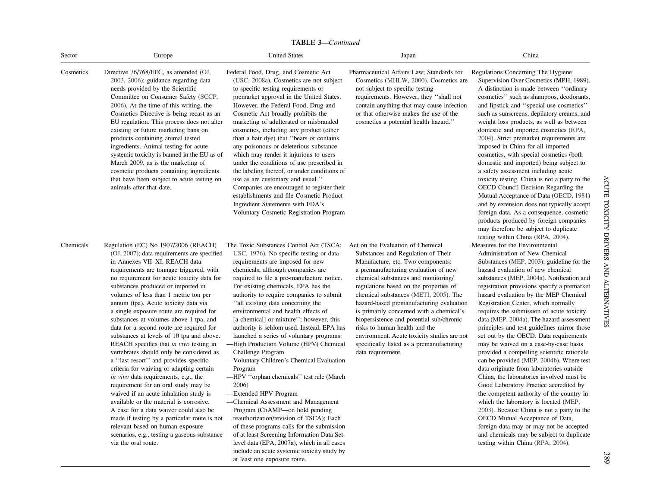TABLE 3—Continued

| Sector    | Europe                                                                                                                                                                                                                                                                                                                                                                                                                                                                                                                                                                                                                                                                                                                                                                                                                                                                                                                                                                                                                                              | <b>United States</b>                                                                                                                                                                                                                                                                                                                                                                                                                                                                                                                                                                                                                                                                                                                                                                                                                                                                                                                | Japan                                                                                                                                                                                                                                                                                                                                                                                                                                                                                                                                                                | China                                                                                                                                                                                                                                                                                                                                                                                                                                                                                                                                                                                                                                                                                                                                                                                                                                                                                                                                                                                                                                                |  |
|-----------|-----------------------------------------------------------------------------------------------------------------------------------------------------------------------------------------------------------------------------------------------------------------------------------------------------------------------------------------------------------------------------------------------------------------------------------------------------------------------------------------------------------------------------------------------------------------------------------------------------------------------------------------------------------------------------------------------------------------------------------------------------------------------------------------------------------------------------------------------------------------------------------------------------------------------------------------------------------------------------------------------------------------------------------------------------|-------------------------------------------------------------------------------------------------------------------------------------------------------------------------------------------------------------------------------------------------------------------------------------------------------------------------------------------------------------------------------------------------------------------------------------------------------------------------------------------------------------------------------------------------------------------------------------------------------------------------------------------------------------------------------------------------------------------------------------------------------------------------------------------------------------------------------------------------------------------------------------------------------------------------------------|----------------------------------------------------------------------------------------------------------------------------------------------------------------------------------------------------------------------------------------------------------------------------------------------------------------------------------------------------------------------------------------------------------------------------------------------------------------------------------------------------------------------------------------------------------------------|------------------------------------------------------------------------------------------------------------------------------------------------------------------------------------------------------------------------------------------------------------------------------------------------------------------------------------------------------------------------------------------------------------------------------------------------------------------------------------------------------------------------------------------------------------------------------------------------------------------------------------------------------------------------------------------------------------------------------------------------------------------------------------------------------------------------------------------------------------------------------------------------------------------------------------------------------------------------------------------------------------------------------------------------------|--|
| Cosmetics | Directive 76/768/EEC, as amended (OJ,<br>2003, 2006); guidance regarding data<br>needs provided by the Scientific<br>Committee on Consumer Safety (SCCP,<br>2006). At the time of this writing, the<br>Cosmetics Directive is being recast as an<br>EU regulation. This process does not alter<br>existing or future marketing bans on<br>products containing animal tested<br>ingredients. Animal testing for acute<br>systemic toxicity is banned in the EU as of<br>March 2009, as is the marketing of<br>cosmetic products containing ingredients<br>that have been subject to acute testing on<br>animals after that date.                                                                                                                                                                                                                                                                                                                                                                                                                     | Federal Food, Drug, and Cosmetic Act<br>(USC, 2008a). Cosmetics are not subject<br>to specific testing requirements or<br>premarket approval in the United States.<br>However, the Federal Food, Drug and<br>Cosmetic Act broadly prohibits the<br>marketing of adulterated or misbranded<br>cosmetics, including any product (other<br>than a hair dye) that "bears or contains<br>any poisonous or deleterious substance<br>which may render it injurious to users<br>under the conditions of use prescribed in<br>the labeling thereof, or under conditions of<br>use as are customary and usual."<br>Companies are encouraged to register their<br>establishments and file Cosmetic Product<br>Ingredient Statements with FDA's<br>Voluntary Cosmetic Registration Program                                                                                                                                                      | Pharmaceutical Affairs Law; Standards for<br>Cosmetics (MHLW, 2000). Cosmetics are<br>not subject to specific testing<br>requirements. However, they "shall not<br>contain anything that may cause infection<br>or that otherwise makes the use of the<br>cosmetics a potential health hazard."                                                                                                                                                                                                                                                                      | Regulations Concerning The Hygiene<br>Supervision Over Cosmetics (MPH, 1989).<br>A distinction is made between "ordinary<br>cosmetics" such as shampoos, deodorants,<br>and lipstick and "special use cosmetics"<br>such as sunscreens, depilatory creams, and<br>weight loss products, as well as between<br>domestic and imported cosmetics (RPA,<br>2004). Strict premarket requirements are<br>imposed in China for all imported<br>cosmetics, with special cosmetics (both<br>domestic and imported) being subject to<br>a safety assessment including acute<br>toxicity testing. China is not a party to the<br>OECD Council Decision Regarding the<br>Mutual Acceptance of Data (OECD, 1981)<br>and by extension does not typically accept<br>foreign data. As a consequence, cosmetic<br>products produced by foreign companies<br>may therefore be subject to duplicate<br>testing within China (RPA, 2004).                                                                                                                                |  |
| Chemicals | Regulation (EC) No 1907/2006 (REACH)<br>(OJ, 2007); data requirements are specified<br>in Annexes VII-XI. REACH data<br>requirements are tonnage triggered, with<br>no requirement for acute toxicity data for<br>substances produced or imported in<br>volumes of less than 1 metric ton per<br>annum (tpa). Acute toxicity data via<br>a single exposure route are required for<br>substances at volumes above 1 tpa, and<br>data for a second route are required for<br>substances at levels of 10 tpa and above.<br>REACH specifies that in vivo testing in<br>vertebrates should only be considered as<br>a "last resort" and provides specific<br>criteria for waiving or adapting certain<br>in vivo data requirements, e.g., the<br>requirement for an oral study may be<br>waived if an acute inhalation study is<br>available or the material is corrosive.<br>A case for a data waiver could also be<br>made if testing by a particular route is not<br>relevant based on human exposure<br>scenarios, e.g., testing a gaseous substance | The Toxic Substances Control Act (TSCA;<br>USC, 1976). No specific testing or data<br>requirements are imposed for new<br>chemicals, although companies are<br>required to file a pre-manufacture notice.<br>For existing chemicals, EPA has the<br>authority to require companies to submit<br>"all existing data concerning the<br>environmental and health effects of<br>[a chemical] or mixture"; however, this<br>authority is seldom used. Instead, EPA has<br>launched a series of voluntary programs:<br>-High Production Volume (HPV) Chemical<br>Challenge Program<br>-Voluntary Children's Chemical Evaluation<br>Program<br>-HPV "orphan chemicals" test rule (March<br>2006)<br>-Extended HPV Program<br>-Chemical Assessment and Management<br>Program (ChAMP—on hold pending<br>reauthorization/revision of TSCA); Each<br>of these programs calls for the submission<br>of at least Screening Information Data Set- | Act on the Evaluation of Chemical<br>Substances and Regulation of Their<br>Manufacture, etc. Two components:<br>a premanufacturing evaluation of new<br>chemical substances and monitoring/<br>regulations based on the properties of<br>chemical substances (METI, 2005). The<br>hazard-based premanufacturing evaluation<br>is primarily concerned with a chemical's<br>biopersistence and potential sub/chronic<br>risks to human health and the<br>environment. Acute toxicity studies are not<br>specifically listed as a premanufacturing<br>data requirement. | Measures for the Environmental<br>Administration of New Chemical<br>Substances (MEP, 2003); guideline for the<br>hazard evaluation of new chemical<br>substances (MEP, 2004a). Notification and<br>registration provisions specify a premarket<br>hazard evaluation by the MEP Chemical<br>Registration Center, which normally<br>requires the submission of acute toxicity<br>data (MEP, 2004a). The hazard assessment<br>principles and test guidelines mirror those<br>set out by the OECD. Data requirements<br>may be waived on a case-by-case basis<br>provided a compelling scientific rationale<br>can be provided (MEP, 2004b). Where test<br>data originate from laboratories outside<br>China, the laboratories involved must be<br>Good Laboratory Practice accredited by<br>the competent authority of the country in<br>which the laboratory is located (MEP,<br>2003). Because China is not a party to the<br>OECD Mutual Acceptance of Data,<br>foreign data may or may not be accepted<br>and chemicals may be subject to duplicate |  |

level data (EPA, 2007a), which in all cases include an acute systemic toxicity study by

at least one exposure route.

via the oral route.

389

testing within China [\(RPA,](#page-15-0) 2004).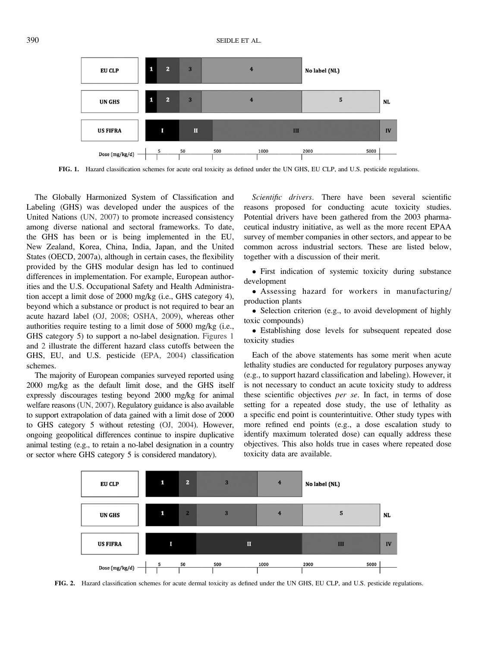

FIG. 1. Hazard classification schemes for acute oral toxicity as defined under the UN GHS, EU CLP, and U.S. pesticide regulations.

The Globally Harmonized System of Classification and Labeling (GHS) was developed under the auspices of the United Nations [\(UN, 2007\)](#page-16-0) to promote increased consistency among diverse national and sectoral frameworks. To date, the GHS has been or is being implemented in the EU, New Zealand, Korea, China, India, Japan, and the United States (OECD, 2007a), although in certain cases, the flexibility provided by the GHS modular design has led to continued differences in implementation. For example, European authorities and the U.S. Occupational Safety and Health Administration accept a limit dose of 2000 mg/kg (i.e., GHS category 4), beyond which a substance or product is not required to bear an acute hazard label ([OJ, 2008;](#page-15-0) [OSHA, 2009](#page-16-0)), whereas other authorities require testing to a limit dose of 5000 mg/kg (i.e., GHS category 5) to support a no-label designation. Figures 1 and 2 illustrate the different hazard class cutoffs between the GHS, EU, and U.S. pesticide ([EPA, 2004\)](#page-16-0) classification schemes.

The majority of European companies surveyed reported using 2000 mg/kg as the default limit dose, and the GHS itself expressly discourages testing beyond 2000 mg/kg for animal welfare reasons [\(UN, 2007](#page-16-0)). Regulatory guidance is also available to support extrapolation of data gained with a limit dose of 2000 to GHS category 5 without retesting [\(OJ, 2004](#page-15-0)). However, ongoing geopolitical differences continue to inspire duplicative animal testing (e.g., to retain a no-label designation in a country or sector where GHS category 5 is considered mandatory).

Scientific drivers. There have been several scientific reasons proposed for conducting acute toxicity studies. Potential drivers have been gathered from the 2003 pharmaceutical industry initiative, as well as the more recent EPAA survey of member companies in other sectors, and appear to be common across industrial sectors. These are listed below, together with a discussion of their merit.

- First indication of systemic toxicity during substance development

- Assessing hazard for workers in manufacturing/ production plants

• Selection criterion (e.g., to avoid development of highly toxic compounds)

- Establishing dose levels for subsequent repeated dose toxicity studies

Each of the above statements has some merit when acute lethality studies are conducted for regulatory purposes anyway (e.g., to support hazard classification and labeling). However, it is not necessary to conduct an acute toxicity study to address these scientific objectives per se. In fact, in terms of dose setting for a repeated dose study, the use of lethality as a specific end point is counterintuitive. Other study types with more refined end points (e.g., a dose escalation study to identify maximum tolerated dose) can equally address these objectives. This also holds true in cases where repeated dose toxicity data are available.



FIG. 2. Hazard classification schemes for acute dermal toxicity as defined under the UN GHS, EU CLP, and U.S. pesticide regulations.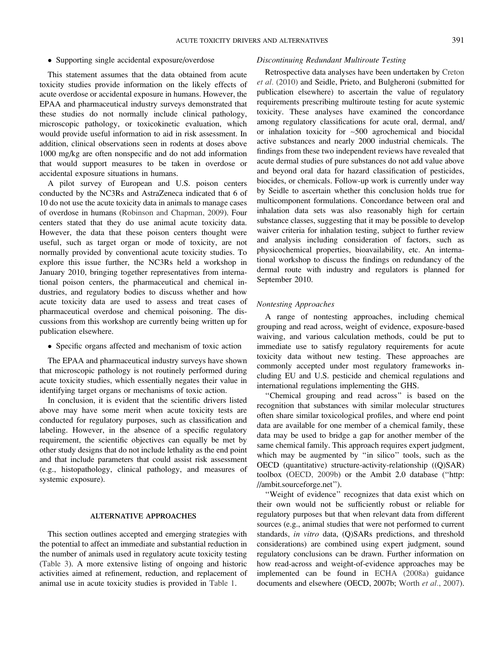#### - Supporting single accidental exposure/overdose

This statement assumes that the data obtained from acute toxicity studies provide information on the likely effects of acute overdose or accidental exposure in humans. However, the EPAA and pharmaceutical industry surveys demonstrated that these studies do not normally include clinical pathology, microscopic pathology, or toxicokinetic evaluation, which would provide useful information to aid in risk assessment. In addition, clinical observations seen in rodents at doses above 1000 mg/kg are often nonspecific and do not add information that would support measures to be taken in overdose or accidental exposure situations in humans.

A pilot survey of European and U.S. poison centers conducted by the NC3Rs and AstraZeneca indicated that 6 of 10 do not use the acute toxicity data in animals to manage cases of overdose in humans ([Robinson and Chapman, 2009\)](#page-15-0). Four centers stated that they do use animal acute toxicity data. However, the data that these poison centers thought were useful, such as target organ or mode of toxicity, are not normally provided by conventional acute toxicity studies. To explore this issue further, the NC3Rs held a workshop in January 2010, bringing together representatives from international poison centers, the pharmaceutical and chemical industries, and regulatory bodies to discuss whether and how acute toxicity data are used to assess and treat cases of pharmaceutical overdose and chemical poisoning. The discussions from this workshop are currently being written up for publication elsewhere.

- Specific organs affected and mechanism of toxic action

The EPAA and pharmaceutical industry surveys have shown that microscopic pathology is not routinely performed during acute toxicity studies, which essentially negates their value in identifying target organs or mechanisms of toxic action.

In conclusion, it is evident that the scientific drivers listed above may have some merit when acute toxicity tests are conducted for regulatory purposes, such as classification and labeling. However, in the absence of a specific regulatory requirement, the scientific objectives can equally be met by other study designs that do not include lethality as the end point and that include parameters that could assist risk assessment (e.g., histopathology, clinical pathology, and measures of systemic exposure).

#### ALTERNATIVE APPROACHES

This section outlines accepted and emerging strategies with the potential to affect an immediate and substantial reduction in the number of animals used in regulatory acute toxicity testing [\(Table 3\)](#page-8-0). A more extensive listing of ongoing and historic activities aimed at refinement, reduction, and replacement of animal use in acute toxicity studies is provided in [Table 1](#page-3-0).

#### Discontinuing Redundant Multiroute Testing

Retrospective data analyses have been undertaken by [Creton](#page-13-0) et al. [\(2010\)](#page-13-0) and Seidle, Prieto, and Bulgheroni (submitted for publication elsewhere) to ascertain the value of regulatory requirements prescribing multiroute testing for acute systemic toxicity. These analyses have examined the concordance among regulatory classifications for acute oral, dermal, and/ or inhalation toxicity for ~500 agrochemical and biocidal active substances and nearly 2000 industrial chemicals. The findings from these two independent reviews have revealed that acute dermal studies of pure substances do not add value above and beyond oral data for hazard classification of pesticides, biocides, or chemicals. Follow-up work is currently under way by Seidle to ascertain whether this conclusion holds true for multicomponent formulations. Concordance between oral and inhalation data sets was also reasonably high for certain substance classes, suggesting that it may be possible to develop waiver criteria for inhalation testing, subject to further review and analysis including consideration of factors, such as physicochemical properties, bioavailability, etc. An international workshop to discuss the findings on redundancy of the dermal route with industry and regulators is planned for September 2010.

#### Nontesting Approaches

A range of nontesting approaches, including chemical grouping and read across, weight of evidence, exposure-based waiving, and various calculation methods, could be put to immediate use to satisfy regulatory requirements for acute toxicity data without new testing. These approaches are commonly accepted under most regulatory frameworks including EU and U.S. pesticide and chemical regulations and international regulations implementing the GHS.

''Chemical grouping and read across'' is based on the recognition that substances with similar molecular structures often share similar toxicological profiles, and where end point data are available for one member of a chemical family, these data may be used to bridge a gap for another member of the same chemical family. This approach requires expert judgment, which may be augmented by "in silico" tools, such as the OECD (quantitative) structure-activity-relationship ((Q)SAR) toolbox ([OECD, 2009b](#page-15-0)) or the Ambit 2.0 database (''[http:](http://ambit.sourceforge.net) [//ambit.sourceforge.net](http://ambit.sourceforge.net)'').

''Weight of evidence'' recognizes that data exist which on their own would not be sufficiently robust or reliable for regulatory purposes but that when relevant data from different sources (e.g., animal studies that were not performed to current standards, in vitro data, (Q)SARs predictions, and threshold considerations) are combined using expert judgment, sound regulatory conclusions can be drawn. Further information on how read-across and weight-of-evidence approaches may be implemented can be found in [ECHA \(2008a\)](#page-14-0) guidance documents and elsewhere (OECD, 2007b; [Worth](#page-16-0) et al., 2007).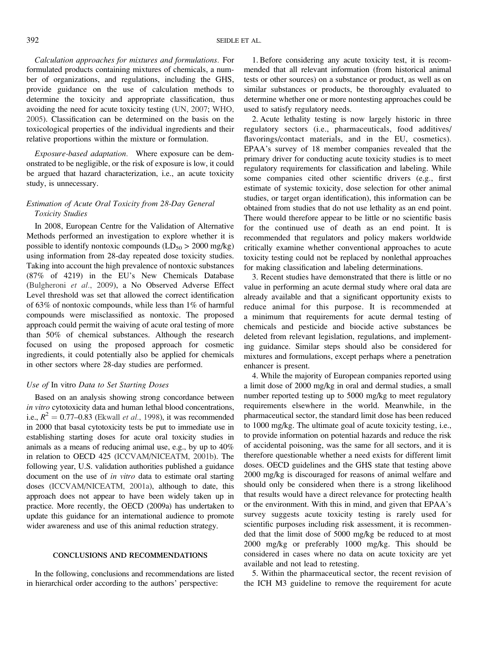Calculation approaches for mixtures and formulations. For formulated products containing mixtures of chemicals, a number of organizations, and regulations, including the GHS, provide guidance on the use of calculation methods to determine the toxicity and appropriate classification, thus avoiding the need for acute toxicity testing [\(UN, 2007](#page-16-0); [WHO,](#page-16-0) [2005](#page-16-0)). Classification can be determined on the basis on the toxicological properties of the individual ingredients and their relative proportions within the mixture or formulation.

Exposure-based adaptation. Where exposure can be demonstrated to be negligible, or the risk of exposure is low, it could be argued that hazard characterization, i.e., an acute toxicity study, is unnecessary.

### Estimation of Acute Oral Toxicity from 28-Day General Toxicity Studies

In 2008, European Centre for the Validation of Alternative Methods performed an investigation to explore whether it is possible to identify nontoxic compounds  $(LD_{50} > 2000 \text{ mg/kg})$ using information from 28-day repeated dose toxicity studies. Taking into account the high prevalence of nontoxic substances (87% of 4219) in the EU's New Chemicals Database [\(Bulgheroni](#page-13-0) et al., 2009), a No Observed Adverse Effect Level threshold was set that allowed the correct identification of 63% of nontoxic compounds, while less than 1% of harmful compounds were misclassified as nontoxic. The proposed approach could permit the waiving of acute oral testing of more than 50% of chemical substances. Although the research focused on using the proposed approach for cosmetic ingredients, it could potentially also be applied for chemicals in other sectors where 28-day studies are performed.

#### Use of In vitro Data to Set Starting Doses

Based on an analysis showing strong concordance between in vitro cytotoxicity data and human lethal blood concentrations, i.e.,  $R^2 = 0.77$ –0.83 ([Ekwall](#page-13-0) *et al.*, 1998), it was recommended in 2000 that basal cytotoxicity tests be put to immediate use in establishing starting doses for acute oral toxicity studies in animals as a means of reducing animal use, e.g., by up to 40% in relation to OECD 425 [\(ICCVAM/NICEATM, 2001b](#page-14-0)). The following year, U.S. validation authorities published a guidance document on the use of *in vitro* data to estimate oral starting doses ([ICCVAM/NICEATM, 2001a\)](#page-14-0), although to date, this approach does not appear to have been widely taken up in practice. More recently, the OECD (2009a) has undertaken to update this guidance for an international audience to promote wider awareness and use of this animal reduction strategy.

#### CONCLUSIONS AND RECOMMENDATIONS

In the following, conclusions and recommendations are listed in hierarchical order according to the authors' perspective:

1. Before considering any acute toxicity test, it is recommended that all relevant information (from historical animal tests or other sources) on a substance or product, as well as on similar substances or products, be thoroughly evaluated to determine whether one or more nontesting approaches could be used to satisfy regulatory needs.

2. Acute lethality testing is now largely historic in three regulatory sectors (i.e., pharmaceuticals, food additives/ flavorings/contact materials, and in the EU, cosmetics). EPAA's survey of 18 member companies revealed that the primary driver for conducting acute toxicity studies is to meet regulatory requirements for classification and labeling. While some companies cited other scientific drivers (e.g., first estimate of systemic toxicity, dose selection for other animal studies, or target organ identification), this information can be obtained from studies that do not use lethality as an end point. There would therefore appear to be little or no scientific basis for the continued use of death as an end point. It is recommended that regulators and policy makers worldwide critically examine whether conventional approaches to acute toxicity testing could not be replaced by nonlethal approaches for making classification and labeling determinations.

3. Recent studies have demonstrated that there is little or no value in performing an acute dermal study where oral data are already available and that a significant opportunity exists to reduce animal for this purpose. It is recommended at a minimum that requirements for acute dermal testing of chemicals and pesticide and biocide active substances be deleted from relevant legislation, regulations, and implementing guidance. Similar steps should also be considered for mixtures and formulations, except perhaps where a penetration enhancer is present.

4. While the majority of European companies reported using a limit dose of 2000 mg/kg in oral and dermal studies, a small number reported testing up to 5000 mg/kg to meet regulatory requirements elsewhere in the world. Meanwhile, in the pharmaceutical sector, the standard limit dose has been reduced to 1000 mg/kg. The ultimate goal of acute toxicity testing, i.e., to provide information on potential hazards and reduce the risk of accidental poisoning, was the same for all sectors, and it is therefore questionable whether a need exists for different limit doses. OECD guidelines and the GHS state that testing above 2000 mg/kg is discouraged for reasons of animal welfare and should only be considered when there is a strong likelihood that results would have a direct relevance for protecting health or the environment. With this in mind, and given that EPAA's survey suggests acute toxicity testing is rarely used for scientific purposes including risk assessment, it is recommended that the limit dose of 5000 mg/kg be reduced to at most 2000 mg/kg or preferably 1000 mg/kg. This should be considered in cases where no data on acute toxicity are yet available and not lead to retesting.

5. Within the pharmaceutical sector, the recent revision of the ICH M3 guideline to remove the requirement for acute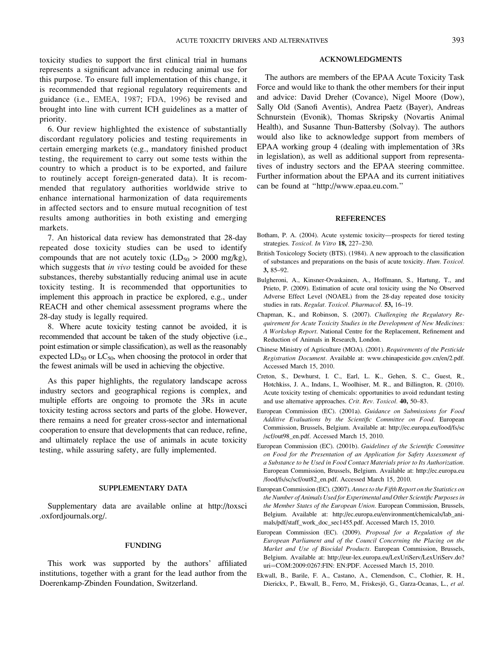<span id="page-13-0"></span>toxicity studies to support the first clinical trial in humans represents a significant advance in reducing animal use for this purpose. To ensure full implementation of this change, it is recommended that regional regulatory requirements and guidance (i.e., [EMEA, 1987;](#page-14-0) [FDA, 1996](#page-16-0)) be revised and brought into line with current ICH guidelines as a matter of priority.

6. Our review highlighted the existence of substantially discordant regulatory policies and testing requirements in certain emerging markets (e.g., mandatory finished product testing, the requirement to carry out some tests within the country to which a product is to be exported, and failure to routinely accept foreign-generated data). It is recommended that regulatory authorities worldwide strive to enhance international harmonization of data requirements in affected sectors and to ensure mutual recognition of test results among authorities in both existing and emerging markets.

7. An historical data review has demonstrated that 28-day repeated dose toxicity studies can be used to identify compounds that are not acutely toxic  $(LD_{50} > 2000 \text{ mg/kg})$ , which suggests that in vivo testing could be avoided for these substances, thereby substantially reducing animal use in acute toxicity testing. It is recommended that opportunities to implement this approach in practice be explored, e.g., under REACH and other chemical assessment programs where the 28-day study is legally required.

8. Where acute toxicity testing cannot be avoided, it is recommended that account be taken of the study objective (i.e., point estimation or simple classification), as well as the reasonably expected  $LD_{50}$  or  $LC_{50}$ , when choosing the protocol in order that the fewest animals will be used in achieving the objective.

As this paper highlights, the regulatory landscape across industry sectors and geographical regions is complex, and multiple efforts are ongoing to promote the 3Rs in acute toxicity testing across sectors and parts of the globe. However, there remains a need for greater cross-sector and international cooperation to ensure that developments that can reduce, refine, and ultimately replace the use of animals in acute toxicity testing, while assuring safety, are fully implemented.

#### SUPPLEMENTARY DATA

<Supplementary data> are available online at [http://toxsci](http://toxsci.oxfordjournals.org/.) [.oxfordjournals.org/.](http://toxsci.oxfordjournals.org/.)

#### FUNDING

This work was supported by the authors' affiliated institutions, together with a grant for the lead author from the Doerenkamp-Zbinden Foundation, Switzerland.

#### ACKNOWLEDGMENTS

The authors are members of the EPAA Acute Toxicity Task Force and would like to thank the other members for their input and advice: David Dreher (Covance), Nigel Moore (Dow), Sally Old (Sanofi Aventis), Andrea Paetz (Bayer), Andreas Schnurstein (Evonik), Thomas Skripsky (Novartis Animal Health), and Susanne Thun-Battersby (Solvay). The authors would also like to acknowledge support from members of EPAA working group 4 (dealing with implementation of 3Rs in legislation), as well as additional support from representatives of industry sectors and the EPAA steering committee. Further information about the EPAA and its current initiatives can be found at '['http://www.epaa.eu.com](http://www.epaa.eu.com).''

#### **REFERENCES**

- Botham, P. A. (2004). Acute systemic toxicity––prospects for tiered testing strategies. Toxicol. In Vitro 18, 227-230.
- British Toxicology Society (BTS). (1984). A new approach to the classification of substances and preparations on the basis of acute toxicity. Hum. Toxicol. 3, 85–92.
- Bulgheroni, A., Kinsner-Ovaskainen, A., Hoffmann, S., Hartung, T., and Prieto, P. (2009). Estimation of acute oral toxicity using the No Observed Adverse Effect Level (NOAEL) from the 28-day repeated dose toxicity studies in rats. Regulat. Toxicol. Pharmacol. 53, 16-19.
- Chapman, K., and Robinson, S. (2007). Challenging the Regulatory Requirement for Acute Toxicity Studies in the Development of New Medicines: A Workshop Report. National Centre for the Replacement, Refinement and Reduction of Animals in Research, London.
- Chinese Ministry of Agriculture (MOA). (2001). Requirements of the Pesticide Registration Document. Available at: [www.chinapesticide.gov.cn/en/2.pdf.](www.chinapesticide.gov.cn/en/2.pdf) Accessed March 15, 2010.
- Creton, S., Dewhurst, I. C., Earl, L. K., Gehen, S. C., Guest, R., Hotchkiss, J. A., Indans, I., Woolhiser, M. R., and Billington, R. (2010). Acute toxicity testing of chemicals: opportunities to avoid redundant testing and use alternative approaches. Crit. Rev. Toxicol. 40, 50–83.
- European Commission (EC). (2001a). Guidance on Submissions for Food Additive Evaluations by the Scientific Committee on Food. European Commission, Brussels, Belgium. Available at: [http://ec.europa.eu/food/fs/sc](http://ec.europa.eu/food/fs/sc/scf/out98_en.pdf. Accessed March 15, 2010) [/scf/out98\\_en.pdf. Accessed March 15, 2010.](http://ec.europa.eu/food/fs/sc/scf/out98_en.pdf. Accessed March 15, 2010)
- European Commission (EC). (2001b). Guidelines of the Scientific Committee on Food for the Presentation of an Application for Safety Assessment of a Substance to be Used in Food Contact Materials prior to Its Authorization. European Commission, Brussels, Belgium. Available at: [http://ec.europa.eu](http://ec.europa.eu/food/fs/sc/scf/out82_en.pdf) [/food/fs/sc/scf/out82\\_en.pdf](http://ec.europa.eu/food/fs/sc/scf/out82_en.pdf). Accessed March 15, 2010.
- European Commission (EC). (2007). Annex to the Fifth Report on the Statistics on the Number of Animals Used for Experimental and Other Scientific Purposes in the Member States of the European Union. European Commission, Brussels, Belgium. Available at: [http://ec.europa.eu/environment/chemicals/lab\\_ani](http://ec.europa.eu/environment/chemicals/lab_animals/pdf/staff_work_doc_sec1455.pdf. Accessed March 15, 2010)[mals/pdf/staff\\_work\\_doc\\_sec1455.pdf. Accessed March 15, 2010](http://ec.europa.eu/environment/chemicals/lab_animals/pdf/staff_work_doc_sec1455.pdf. Accessed March 15, 2010).
- European Commission (EC). (2009). Proposal for a Regulation of the European Parliament and of the Council Concerning the Placing on the Market and Use of Biocidal Products. European Commission, Brussels, Belgium. Available at: [http://eur-lex.europa.eu/LexUriServ/LexUriServ.do?](http://eur-lex.europa.eu/LexUriServ/LexUriServ.do?uri=OJ: L:2009:309:0001:0050:EN: PDF) [uri](http://eur-lex.europa.eu/LexUriServ/LexUriServ.do?uri=OJ: L:2009:309:0001:0050:EN: PDF)=[COM:2009:0267:FIN: EN:PDF. Accessed March 15, 2010](http://eur-lex.europa.eu/LexUriServ/LexUriServ.do?uri=OJ: L:2009:309:0001:0050:EN: PDF).
- Ekwall, B., Barile, F. A., Castano, A., Clemendson, C., Clothier, R. H., Dierickx, P., Ekwall, B., Ferro, M., Friskesjö, G., Garza-Ocanas, L., et al.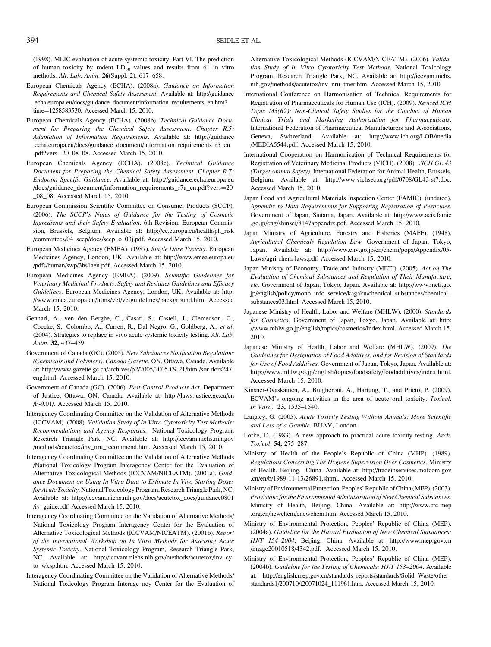<span id="page-14-0"></span>(1998). MEIC evaluation of acute systemic toxicity. Part VI. The prediction of human toxicity by rodent  $LD_{50}$  values and results from 61 in vitro methods. Alt. Lab. Anim. 26(Suppl. 2), 617–658.

- European Chemicals Agency (ECHA). (2008a). Guidance on Information Requirements and Chemical Safety Assessment. Available at: [http://guidance](http://guidance.echa.europa.eu/docs/guidance_document/information_requirements_r7a_en.pdf?vers=20_08_08) [.echa.europa.eu/docs/guidance\\_document/information\\_requirements\\_en.htm?](http://guidance.echa.europa.eu/docs/guidance_document/information_requirements_r7a_en.pdf?vers=20_08_08) [time](http://guidance.echa.europa.eu/docs/guidance_document/information_requirements_r7a_en.pdf?vers=20_08_08)=[1258583530.](http://guidance.echa.europa.eu/docs/guidance_document/information_requirements_r7a_en.pdf?vers=20_08_08) Accessed March 15, 2010.
- European Chemicals Agency (ECHA). (2008b). Technical Guidance Document for Preparing the Chemical Safety Assessment. Chapter R.5: Adaptation of Information Requirements. Available at: [http://guidance](http://guidance.echa.europa.eu/docs/guidance_document/information_requirements_r7a_en.pdf?vers=20_08_08) [.echa.europa.eu/docs/guidance\\_document/information\\_requirements\\_r5\\_en](http://guidance.echa.europa.eu/docs/guidance_document/information_requirements_r7a_en.pdf?vers=20_08_08) [.pdf?vers](http://guidance.echa.europa.eu/docs/guidance_document/information_requirements_r7a_en.pdf?vers=20_08_08)=[20\\_08\\_08](http://guidance.echa.europa.eu/docs/guidance_document/information_requirements_r7a_en.pdf?vers=20_08_08). Accessed March 15, 2010.
- European Chemicals Agency (ECHA). (2008c). Technical Guidance Document for Preparing the Chemical Safety Assessment. Chapter R.7: Endpoint Specific Guidance. Available at: [http://guidance.echa.europa.eu](http://guidance.echa.europa.eu/docs/guidance_document/information_requirements_r7a_en.pdf?vers=20_08_08) [/docs/guidance\\_document/information\\_requirements\\_r7a\\_en.pdf?vers](http://guidance.echa.europa.eu/docs/guidance_document/information_requirements_r7a_en.pdf?vers=20_08_08)=[20](http://guidance.echa.europa.eu/docs/guidance_document/information_requirements_r7a_en.pdf?vers=20_08_08) [\\_08\\_08.](http://guidance.echa.europa.eu/docs/guidance_document/information_requirements_r7a_en.pdf?vers=20_08_08) Accessed March 15, 2010.
- European Commission Scientific Committee on Consumer Products (SCCP). (2006). The SCCP's Notes of Guidance for the Testing of Cosmetic Ingredients and their Safety Evaluation. 6th Revision. European Commission, Brussels, Belgium. Available at: [http://ec.europa.eu/health/ph\\_risk](http://ec.europa.eu/health/ph_risk/committees/04_sccp/docs/sccp_o_03j.pdf) [/committees/04\\_sccp/docs/sccp\\_o\\_03j.pdf.](http://ec.europa.eu/health/ph_risk/committees/04_sccp/docs/sccp_o_03j.pdf) Accessed March 15, 2010.
- European Medicines Agency (EMEA). (1987). Single Dose Toxicity. European Medicines Agency, London, UK. Available at: [http://www.emea.europa.eu](http://www.emea.europa.eu/pdfs/human/swp/3bs1aen.pdf) [/pdfs/human/swp/3bs1aen.pdf.](http://www.emea.europa.eu/pdfs/human/swp/3bs1aen.pdf) Accessed March 15, 2010.
- European Medicines Agency (EMEA). (2009). Scientific Guidelines for Veterinary Medicinal Products, Safety and Residues Guidelines and Efficacy Guidelines. European Medicines Agency, London, UK. Available at: [http:](http://www.emea.europa.eu/htms/vet/vetguidelines/background.htm) [//www.emea.europa.eu/htms/vet/vetguidelines/background.htm](http://www.emea.europa.eu/htms/vet/vetguidelines/background.htm). Accessed March 15, 2010.
- Gennari, A., ven den Berghe, C., Casati, S., Castell, J., Clemedson, C., Coecke, S., Colombo, A., Curren, R., Dal Negro, G., Goldberg, A., et al. (2004). Strategies to replace in vivo acute systemic toxicity testing. Alt. Lab. Anim. 32, 437–459.
- Government of Canada (GC). (2005). New Substances Notification Regulations (Chemicals and Polymers). Canada Gazette, ON, Ottawa, Canada. Available at: [http://www.gazette.gc.ca/archives/p2/2005/2005-09-21/html/sor-dors247](http://www.gazette.gc.ca/archives/p2/2005/2005-09-21/html/sor-dors247-eng.html) [eng.html.](http://www.gazette.gc.ca/archives/p2/2005/2005-09-21/html/sor-dors247-eng.html) Accessed March 15, 2010.
- Government of Canada (GC). (2006). Pest Control Products Act. Department of Justice, Ottawa, ON, Canada. Available at: [http://laws.justice.gc.ca/en](http://laws.justice.gc.ca/en/P-9.01/) [/P-9.01/](http://laws.justice.gc.ca/en/P-9.01/). Accessed March 15, 2010.
- Interagency Coordinating Committee on the Validation of Alternative Methods (ICCVAM). (2008). Validation Study of In Vitro Cytotoxicity Test Methods: Recommendations and Agency Responses. National Toxicology Program, Research Triangle Park, NC. Available at: [http://iccvam.niehs.nih.gov](http://iccvam.niehs.nih.gov/methods/acutetox/inv_nru_recommend.htm) [/methods/acutetox/inv\\_nru\\_recommend.htm.](http://iccvam.niehs.nih.gov/methods/acutetox/inv_nru_recommend.htm) Accessed March 15, 2010.
- Interagency Coordinating Committee on the Validation of Alternative Methods /National Toxicology Program Interagency Center for the Evaluation of Alternative Toxicological Methods (ICCVAM/NICEATM). (2001a). Guidance Document on Using In Vitro Data to Estimate In Vivo Starting Doses for Acute Toxicity. National Toxicology Program, Research Triangle Park, NC. Available at: [http://iccvam.niehs.nih.gov/docs/acutetox\\_docs/guidance0801](http://iccvam.niehs.nih.gov/docs/acutetox_docs/guidance0801/iv_guide.pdf) [/iv\\_guide.pdf](http://iccvam.niehs.nih.gov/docs/acutetox_docs/guidance0801/iv_guide.pdf). Accessed March 15, 2010.
- Interagency Coordinating Committee on the Validation of Alternative Methods/ National Toxicology Program Interagency Center for the Evaluation of Alternative Toxicological Methods (ICCVAM/NICEATM). (2001b). Report of the International Workshop on In Vitro Methods for Assessing Acute Systemic Toxicity. National Toxicology Program, Research Triangle Park, NC. Available at: [http://iccvam.niehs.nih.gov/methods/acutetox/inv\\_cy](http://iccvam.niehs.nih.gov/methods/acutetox/inv_cyto_wksp.htm)[to\\_wksp.htm](http://iccvam.niehs.nih.gov/methods/acutetox/inv_cyto_wksp.htm). Accessed March 15, 2010.
- Interagency Coordinating Committee on the Validation of Alternative Methods/ National Toxicology Program Interage ncy Center for the Evaluation of

Alternative Toxicological Methods (ICCVAM/NICEATM). (2006). Validation Study of In Vitro Cytotoxicity Test Methods. National Toxicology Program, Research Triangle Park, NC. Available at: [http://iccvam.niehs.](http://iccvam.niehs.nih.gov/methods/acutetox/inv_nru_tmer.htm) [nih.gov/methods/acutetox/inv\\_nru\\_tmer.htm](http://iccvam.niehs.nih.gov/methods/acutetox/inv_nru_tmer.htm). Accessed March 15, 2010.

- International Conference on Harmonisation of Technical Requirements for Registration of Pharmaceuticals for Human Use (ICH). (2009). Revised ICH Topic M3(R2): Non-Clinical Safety Studies for the Conduct of Human Clinical Trials and Marketing Authorization for Pharmaceuticals. International Federation of Pharmaceutical Manufacturers and Associations, Geneva, Switzerland. Available at: [http://www.ich.org/LOB/media](http://www.ich.org/LOB/media/MEDIA5544.pdf) [/MEDIA5544.pdf](http://www.ich.org/LOB/media/MEDIA5544.pdf). Accessed March 15, 2010.
- International Cooperation on Harmonization of Technical Requirements for Registration of Veterinary Medicinal Products (VICH). (2008). VICH GL 43 (Target Animal Safety). International Federation for Animal Health, Brussels, Belgium. Available at:<http://www.vichsec.org/pdf/0708/GL43-st7.doc>. Accessed March 15, 2010.
- Japan Food and Agricultural Materials Inspection Center (FAMIC). (undated). Appendix to Data Requirements for Supporting Registration of Pesticides. Government of Japan, Saitama, Japan. Available at: [http://www.acis.famic](http://www.acis.famic.go.jp/eng/shinsei/8147appendix.pdf) [.go.jp/eng/shinsei/8147appendix.pdf](http://www.acis.famic.go.jp/eng/shinsei/8147appendix.pdf). Accessed March 15, 2010.
- Japan Ministry of Agriculture, Forestry and Fisheries (MAFF). (1948). Agricultural Chemicals Regulation Law. Government of Japan, Tokyo, Japan. Available at: [http://www.env.go.jp/en/chemi/pops/Appendix/05-](http://www.env.go.jp/en/chemi/pops/Appendix/05-Laws/agri-chem-laws.pdf) [Laws/agri-chem-laws.pdf.](http://www.env.go.jp/en/chemi/pops/Appendix/05-Laws/agri-chem-laws.pdf) Accessed March 15, 2010.
- Japan Ministry of Economy, Trade and Industry (METI). (2005). Act on The Evaluation of Chemical Substances and Regulation of Their Manufacture, etc. Government of Japan, Tokyo, Japan. Available at: [http://www.meti.go.](http://www.meti.go.jp/english/policy/mono_info_service/kagaku/chemical_substances/chemical_substances03.html) [jp/english/policy/mono\\_info\\_service/kagaku/chemical\\_substances/chemical\\_](http://www.meti.go.jp/english/policy/mono_info_service/kagaku/chemical_substances/chemical_substances03.html) [substances03.html.](http://www.meti.go.jp/english/policy/mono_info_service/kagaku/chemical_substances/chemical_substances03.html) Accessed March 15, 2010.
- Japanese Ministry of Health, Labor and Welfare (MHLW). (2000). Standards for Cosmetics. Government of Japan, Toxyo, Japan. Available at: [http:](http://www.mhlw.go.jp/english/topics/cosmetics/index.html) [//www.mhlw.go.jp/english/topics/cosmetics/index.html.](http://www.mhlw.go.jp/english/topics/cosmetics/index.html) Accessed March 15, 2010.
- Japanese Ministry of Health, Labor and Welfare (MHLW). (2009). The Guidelines for Designation of Food Additives, and for Revision of Standards for Use of Food Additives. Government of Japan, Tokyo, Japan. Available at: <http://www.mhlw.go.jp/english/topics/foodsafety/foodadditives/index.html>. Accessed March 15, 2010.
- Kinsner-Ovaskainen, A., Bulgheroni, A., Hartung, T., and Prieto, P. (2009). ECVAM's ongoing activities in the area of acute oral toxicity. Toxicol. In Vitro. 23, 1535–1540.
- Langley, G. (2005). Acute Toxicity Testing Without Animals: More Scientific and Less of a Gamble. BUAV, London.
- Lorke, D. (1983). A new approach to practical acute toxicity testing. Arch. Toxicol. 54, 275–287.
- Ministry of Health of the People's Republic of China (MHP). (1989). Regulations Concerning The Hygiene Supervision Over Cosmetics. Ministry of Health, Beijing, China. Available at: [http://tradeinservices.mofcom.gov](http://tradeinservices.mofcom.gov.cn/en/b/1989-11-13/26891.shtml) [.cn/en/b/1989-11-13/26891.shtml.](http://tradeinservices.mofcom.gov.cn/en/b/1989-11-13/26891.shtml) Accessed March 15, 2010.
- Ministry of Environmental Protection, Peoples' Republic of China (MEP). (2003). Provisions for the Environmental Administration of New Chemical Substances. Ministry of Health, Beijing, China. Available at: [http://www.crc-mep](http://www.crc-mep.org.cn/newchem/enewchem.htm) [.org.cn/newchem/enewchem.htm.](http://www.crc-mep.org.cn/newchem/enewchem.htm) Accessed March 15, 2010.
- Ministry of Environmental Protection, Peoples' Republic of China (MEP). (2004a). Guideline for the Hazard Evaluation of New Chemical Substances: HJ/T 154–2004. Beijing, China. Available at: [http://www.mep.gov.cn](http://www.mep.gov.cn/image20010518/4342.pdf) [/image20010518/4342.pdf.](http://www.mep.gov.cn/image20010518/4342.pdf) Accessed March 15, 2010.
- Ministry of Environmental Protection, Peoples' Republic of China (MEP). (2004b). Guideline for the Testing of Chemicals: HJ/T 153–2004. Available at: [http://english.mep.gov.cn/standards\\_reports/standards/Solid\\_Waste/other\\_](http://english.mep.gov.cn/standards_reports/standards/Solid_Waste/other_standards1/200710/t20071024_111961.htm) [standards1/200710/t20071024\\_111961.htm.](http://english.mep.gov.cn/standards_reports/standards/Solid_Waste/other_standards1/200710/t20071024_111961.htm) Accessed March 15, 2010.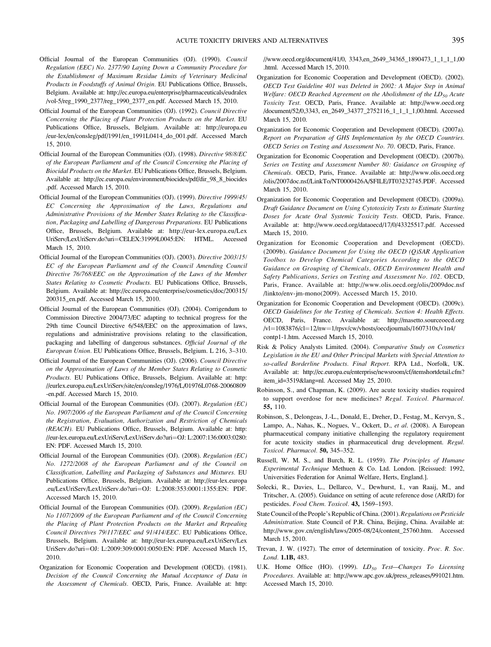- <span id="page-15-0"></span>Official Journal of the European Communities (OJ). (1990). Council Regulation (EEC) No. 2377/90 Laying Down a Community Procedure for the Establishment of Maximum Residue Limits of Veterinary Medicinal Products in Foodstuffs of Animal Origin. EU Publications Office, Brussels, Belgium. Available at: [http://ec.europa.eu/enterprise/pharmaceuticals/eudralex](http://ec.europa.eu/enterprise/pharmaceuticals/eudralex/vol-5/reg_1990_2377/reg_1990_2377_en.pdf) [/vol-5/reg\\_1990\\_2377/reg\\_1990\\_2377\\_en.pdf](http://ec.europa.eu/enterprise/pharmaceuticals/eudralex/vol-5/reg_1990_2377/reg_1990_2377_en.pdf). Accessed March 15, 2010.
- Official Journal of the European Communities (OJ). (1992). Council Directive Concerning the Placing of Plant Protection Products on the Market. EU Publications Office, Brussels, Belgium. Available at: [http://europa.eu](http://europa.eu/eur-lex/en/consleg/pdf/1991/en_1991L0414_do_001.pdf) [/eur-lex/en/consleg/pdf/1991/en\\_1991L0414\\_do\\_001.pdf](http://europa.eu/eur-lex/en/consleg/pdf/1991/en_1991L0414_do_001.pdf). Accessed March 15, 2010.
- Official Journal of the European Communities (OJ). (1998). Directive 98/8/EC of the European Parliament and of the Council Concerning the Placing of Biocidal Products on the Market. EU Publications Office, Brussels, Belgium. Available at: [http://ec.europa.eu/environment/biocides/pdf/dir\\_98\\_8\\_biocides](http://ec.europa.eu/environment/biocides/pdf/dir_98_8_biocides.pdf) [.pdf.](http://ec.europa.eu/environment/biocides/pdf/dir_98_8_biocides.pdf) Accessed March 15, 2010.
- Official Journal of the European Communities (OJ). (1999). Directive 1999/45/ EC Concerning the Approximation of the Laws, Regulations and Administrative Provisions of the Member States Relating to the Classification, Packaging and Labelling of Dangerous Preparations. EU Publications Office, Brussels, Belgium. Available at: [http://eur-lex.europa.eu/Lex](http://eur-lex.europa.eu/LexUriServ/LexUriServ.do?uri=OJ: L:2009:309:0001:0050:EN: PDF) [UriServ/LexUriServ.do?uri](http://eur-lex.europa.eu/LexUriServ/LexUriServ.do?uri=OJ: L:2009:309:0001:0050:EN: PDF)=[CELEX:31999L0045:EN: HTML.](http://eur-lex.europa.eu/LexUriServ/LexUriServ.do?uri=OJ: L:2009:309:0001:0050:EN: PDF) Accessed March 15, 2010.
- Official Journal of the European Communities (OJ). (2003). Directive 2003/15/ EC of the European Parliament and of the Council Amending Council Directive 76/768/EEC on the Approximation of the Laws of the Member States Relating to Cosmetic Products. EU Publications Office, Brussels, Belgium. Available at: [http://ec.europa.eu/enterprise/cosmetics/doc/200315/](http://ec.europa.eu/enterprise/cosmetics/doc/200315/200315_en.pdf) [200315\\_en.pdf.](http://ec.europa.eu/enterprise/cosmetics/doc/200315/200315_en.pdf) Accessed March 15, 2010.
- Official Journal of the European Communities (OJ). (2004). Corrigendum to Commission Directive 2004/73/EC adapting to technical progress for the 29th time Council Directive 6/548/EEC on the approximation of laws, regulations and administrative provisions relating to the classification, packaging and labelling of dangerous substances. Official Journal of the European Union. EU Publications Office, Brussels, Belgium. L 216, 3–310.
- Official Journal of the European Communities (OJ). (2006). Council Directive on the Approximation of Laws of the Member States Relating to Cosmetic Products. EU Publications Office, Brussels, Belgium. Available at: [http:](http://eurlex.europa.eu/LexUriServ/site/en/consleg/1976/L/01976L0768-20060809-en.pdf) [//eurlex.europa.eu/LexUriServ/site/en/consleg/1976/L/01976L0768-20060809](http://eurlex.europa.eu/LexUriServ/site/en/consleg/1976/L/01976L0768-20060809-en.pdf) [-en.pdf.](http://eurlex.europa.eu/LexUriServ/site/en/consleg/1976/L/01976L0768-20060809-en.pdf) Accessed March 15, 2010.
- Official Journal of the European Communities (OJ). (2007). Regulation (EC) No. 1907/2006 of the European Parliament and of the Council Concerning the Registration, Evaluation, Authorization and Restriction of Chemicals (REACH). EU Publications Office, Brussels, Belgium. Available at: [http:](http://eur-lex.europa.eu/LexUriServ/LexUriServ.do?uri=OJ: L:2009:309:0001:0050:EN: PDF) [//eur-lex.europa.eu/LexUriServ/LexUriServ.do?uri](http://eur-lex.europa.eu/LexUriServ/LexUriServ.do?uri=OJ: L:2009:309:0001:0050:EN: PDF)=[OJ: L:2007:136:0003:0280:](http://eur-lex.europa.eu/LexUriServ/LexUriServ.do?uri=OJ: L:2009:309:0001:0050:EN: PDF) [EN: PDF.](http://eur-lex.europa.eu/LexUriServ/LexUriServ.do?uri=OJ: L:2009:309:0001:0050:EN: PDF) Accessed March 15, 2010.
- Official Journal of the European Communities (OJ). (2008). Regulation (EC) No. 1272/2008 of the European Parliament and of the Council on Classification, Labelling and Packaging of Substances and Mixtures. EU Publications Office, Brussels, Belgium. Available at: [http://eur-lex.europa](http://eur-lex.europa.eu/LexUriServ/LexUriServ.do?uri=OJ: L:2009:309:0001:0050:EN: PDF) [.eu/LexUriServ/LexUriServ.do?uri](http://eur-lex.europa.eu/LexUriServ/LexUriServ.do?uri=OJ: L:2009:309:0001:0050:EN: PDF)=[OJ: L:2008:353:0001:1355:EN: PDF.](http://eur-lex.europa.eu/LexUriServ/LexUriServ.do?uri=OJ: L:2009:309:0001:0050:EN: PDF) Accessed March 15, 2010.
- Official Journal of the European Communities (OJ). (2009). Regulation (EC) No 1107/2009 of the European Parliament and of the Council Concerning the Placing of Plant Protection Products on the Market and Repealing Council Directives 79/117/EEC and 91/414/EEC. EU Publications Office, Brussels, Belgium. Available at: [http://eur-lex.europa.eu/LexUriServ/Lex](http://eur-lex.europa.eu/LexUriServ/LexUriServ.do?uri=OJ: L:2009:309:0001:0050:EN: PDF) [UriServ.do?uri](http://eur-lex.europa.eu/LexUriServ/LexUriServ.do?uri=OJ: L:2009:309:0001:0050:EN: PDF)=[OJ: L:2009:309:0001:0050:EN: PDF.](http://eur-lex.europa.eu/LexUriServ/LexUriServ.do?uri=OJ: L:2009:309:0001:0050:EN: PDF) Accessed March 15, 2010.
- Organization for Economic Cooperation and Development (OECD). (1981). Decision of the Council Concerning the Mutual Acceptance of Data in the Assessment of Chemicals. OECD, Paris, France. Available at: [http:](http://www.oecd.org/document/52/0,3343, en_2649_34377_2752116_1_1_1_1,00.html)

[//www.oecd.org/document/41/0, 3343,en\\_2649\\_34365\\_1890473\\_1\\_1\\_1\\_1,00](http://www.oecd.org/document/52/0,3343, en_2649_34377_2752116_1_1_1_1,00.html) [.html.](http://www.oecd.org/document/52/0,3343, en_2649_34377_2752116_1_1_1_1,00.html) Accessed March 15, 2010.

- Organization for Economic Cooperation and Development (OECD). (2002). OECD Test Guideline 401 was Deleted in 2002: A Major Step in Animal Welfare: OECD Reached Agreement on the Abolishment of the  $LD_{50}$  Acute Toxicity Test. OECD, Paris, France. Available at: [http://www.oecd.org](http://www.oecd.org/document/52/0,3343, en_2649_34377_2752116_1_1_1_1,00.html) [/document/52/0,3343, en\\_2649\\_34377\\_2752116\\_1\\_1\\_1\\_1,00.html](http://www.oecd.org/document/52/0,3343, en_2649_34377_2752116_1_1_1_1,00.html). Accessed March 15, 2010.
- Organization for Economic Cooperation and Development (OECD). (2007a). Report on Preparation of GHS Implementation by the OECD Countries. OECD Series on Testing and Assessment No. 70. OECD, Paris, France.
- Organization for Economic Cooperation and Development (OECD). (2007b). Series on Testing and Assessment Number 80: Guidance on Grouping of Chemicals. OECD, Paris, France. Available at: [http://www.olis.oecd.org](http://www.olis.oecd.org/olis/2007doc.nsf/LinkTo/NT0000426A/$FILE/JT03232745.PDF) [/olis/2007doc.nsf/LinkTo/NT0000426A/\\$FILE/JT03232745.PDF](http://www.olis.oecd.org/olis/2007doc.nsf/LinkTo/NT0000426A/$FILE/JT03232745.PDF). Accessed March 15, 2010.
- Organization for Economic Cooperation and Development (OECD). (2009a). Draft Guidance Document on Using Cytotoxicity Tests to Estimate Starting Doses for Acute Oral Systemic Toxicity Tests. OECD, Paris, France. Available at:<http://www.oecd.org/dataoecd/17/0/43325517.pdf>. Accessed March 15, 2010.
- Organization for Economic Cooperation and Development (OECD). (2009b). Guidance Document for Using the OECD (Q)SAR Application Toolbox to Develop Chemical Categories According to the OECD Guidance on Grouping of Chemicals, OECD Environment Health and Safety Publications, Series on Testing and Assessment No. 102. OECD, Paris, France. Available at: [http://www.olis.oecd.org/olis/2009doc.nsf](http://www.olis.oecd.org/olis/2009doc.nsf/linkto/env-jm-mono(2009)) [/linkto/env-jm-mono\(2009\)](http://www.olis.oecd.org/olis/2009doc.nsf/linkto/env-jm-mono(2009)). Accessed March 15, 2010.
- Organization for Economic Cooperation and Development (OECD). (2009c). OECD Guidelines for the Testing of Chemicals. Section 4: Health Effects. OECD, Paris, France. Available at: [http://masetto.sourceoecd.org](http://masetto.sourceoecd.org/vl=1083876/cl=12/nw=1/rpsv/cw/vhosts/oecdjournals/1607310x/v1n4/contp1-1.htm)  $/vl=1083876/cl=12/nw=1/rpsv/cw/vhosts/oecdjournals/1607310x/v1n4/$  $/vl=1083876/cl=12/nw=1/rpsv/cw/vhosts/oecdjournals/1607310x/v1n4/$  $/vl=1083876/cl=12/nw=1/rpsv/cw/vhosts/oecdjournals/1607310x/v1n4/$  $/vl=1083876/cl=12/nw=1/rpsv/cw/vhosts/oecdjournals/1607310x/v1n4/$  $/vl=1083876/cl=12/nw=1/rpsv/cw/vhosts/oecdjournals/1607310x/v1n4/$  $/vl=1083876/cl=12/nw=1/rpsv/cw/vhosts/oecdjournals/1607310x/v1n4/$  $/vl=1083876/cl=12/nw=1/rpsv/cw/vhosts/oecdjournals/1607310x/v1n4/$ [contp1-1.htm](http://masetto.sourceoecd.org/vl=1083876/cl=12/nw=1/rpsv/cw/vhosts/oecdjournals/1607310x/v1n4/contp1-1.htm). Accessed March 15, 2010.
- Risk & Policy Analysts Limited. (2004). Comparative Study on Cosmetics Legislation in the EU and Other Principal Markets with Special Attention to so-called Borderline Products. Final Report. RPA Ltd., Norfolk, UK. Available at: [http://ec.europa.eu/enterprise/newsroom/cf/itemshortdetail.cfm?](http://ec.europa.eu/enterprise/newsroom/cf/itemshortdetail.cfm?item_id=3519&lang=nl) [item\\_id=3519&lang=nl](http://ec.europa.eu/enterprise/newsroom/cf/itemshortdetail.cfm?item_id=3519&lang=nl). Accessed May 25, 2010.
- Robinson, S., and Chapman, K. (2009). Are acute toxicity studies required to support overdose for new medicines? Regul. Toxicol. Pharmacol. 55, 110.
- Robinson, S., Delongeas, J.-L., Donald, E., Dreher, D., Festag, M., Kervyn, S., Lampo, A., Nahas, K., Nogues, V., Ockert, D., et al. (2008). A European pharmaceutical company initiative challenging the regulatory requirement for acute toxicity studies in pharmaceutical drug development. Regul. Toxicol. Pharmacol. 50, 345–352.
- Russell, W. M. S., and Burch, R. L. (1959). The Principles of Humane Experimental Technique Methuen & Co. Ltd. London. [Reissued: 1992, Universities Federation for Animal Welfare, Herts, England.].
- Solecki, R., Davies, L., Dellarco, V., Dewhurst, I., van Raaij, M., and Tritscher, A. (2005). Guidance on setting of acute reference dose (ARfD) for pesticides. Food Chem. Toxicol. 43, 1569-1593.
- State Council of the People's Republic of China. (2001). Regulations on Pesticide Administration. State Council of P.R. China, Beijing, China. Available at: [http://www.gov.cn/english/laws/2005-08/24/content\\_25760.htm.](http://www.gov.cn/english/laws/2005-08/24/content_25760.htm) Accessed March 15, 2010.
- Trevan, J. W. (1927). The error of determination of toxicity. Proc. R. Soc. Lond. 1.1B, 483.
- U.K. Home Office (HO). (1999).  $LD_{50}$  Test-Changes To Licensing Procedures. Available at: [http://www.apc.gov.uk/press\\_releases/991021.htm.](http://www.apc.gov.uk/press_releases/991021.htm) Accessed March 15, 2010.